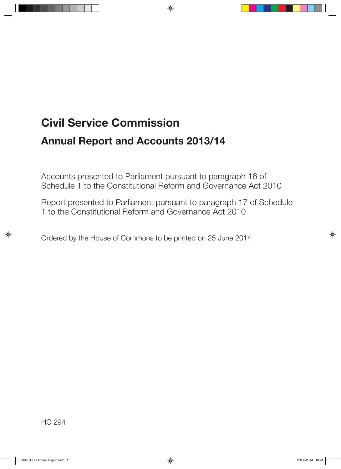# Civil Service Commission

## Annual Report and Accounts 2013/14

Accounts presented to Parliament pursuant to paragraph 16 of Schedule 1 to the Constitutional Reform and Governance Act 2010

◈

Report presented to Parliament pursuant to paragraph 17 of Schedule 1 to the Constitutional Reform and Governance Act 2010

Ordered by the House of Commons to be printed on 25 June 2014

HC 294

◈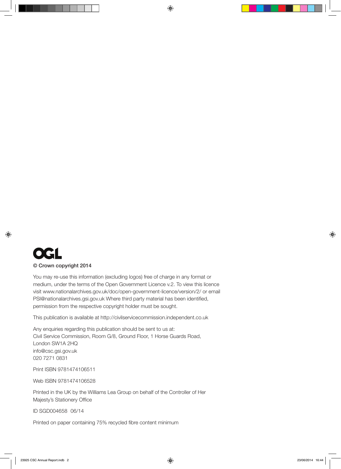

◈

#### © Crown copyright 2014

You may re-use this information (excluding logos) free of charge in any format or medium, under the terms of the Open Government Licence v.2. To view this licence visit www.nationalarchives.gov.uk/doc/open-government-licence/version/2/ or email PSI@nationalarchives.gsi.gov.uk Where third party material has been identified, permission from the respective copyright holder must be sought.

This publication is available at http://civilservicecommission.independent.co.uk

Any enquiries regarding this publication should be sent to us at: Civil Service Commission, Room G/8, Ground Floor, 1 Horse Guards Road, London SW1A 2HQ info@csc.gsi.gov.uk 020 7271 0831

Print ISBN 9781474106511

Web ISBN 9781474106528

Printed in the UK by the Williams Lea Group on behalf of the Controller of Her Majesty's Stationery Office

ID SGD004658 06/14

Printed on paper containing 75% recycled fibre content minimum

 $\bigoplus$ 

 $\bigcirc$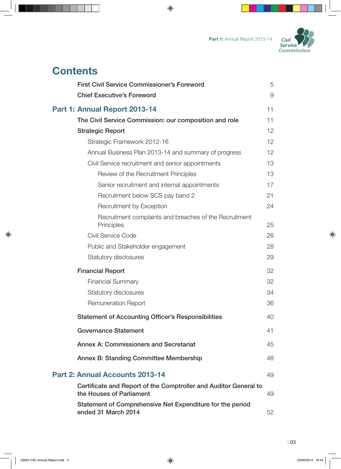

# **Contents**

| <b>First Civil Service Commissioner's Foreword</b>                                           | 5  |
|----------------------------------------------------------------------------------------------|----|
| <b>Chief Executive's Foreword</b>                                                            | 9  |
| Part 1: Annual Report 2013-14                                                                | 11 |
| The Civil Service Commission: our composition and role                                       | 11 |
| <b>Strategic Report</b>                                                                      | 12 |
| Strategic Framework 2012-16                                                                  | 12 |
| Annual Business Plan 2013-14 and summary of progress                                         | 12 |
| Civil Service recruitment and senior appointments                                            | 13 |
| Review of the Recruitment Principles                                                         | 13 |
| Senior recruitment and internal appointments                                                 | 17 |
| Recruitment below SCS pay band 2                                                             | 21 |
| Recruitment by Exception                                                                     | 24 |
| Recruitment complaints and breaches of the Recruitment<br>Principles                         | 25 |
| Civil Service Code                                                                           | 26 |
| Public and Stakeholder engagement                                                            | 28 |
| <b>Statutory disclosures</b>                                                                 | 29 |
| <b>Financial Report</b>                                                                      | 32 |
| <b>Financial Summary</b>                                                                     | 32 |
| <b>Statutory disclosures</b>                                                                 | 34 |
| <b>Remuneration Report</b>                                                                   | 36 |
| <b>Statement of Accounting Officer's Responsibilities</b>                                    | 40 |
| <b>Governance Statement</b>                                                                  | 41 |
| <b>Annex A: Commissioners and Secretariat</b>                                                | 45 |
| <b>Annex B: Standing Committee Membership</b>                                                | 48 |
| Part 2: Annual Accounts 2013-14                                                              | 49 |
| Certificate and Report of the Comptroller and Auditor General to<br>the Houses of Parliament | 49 |
| Statement of Comprehensive Net Expenditure for the period<br>ended 31 March 2014             | 52 |

 $\bigcirc$ 

 $\bigoplus$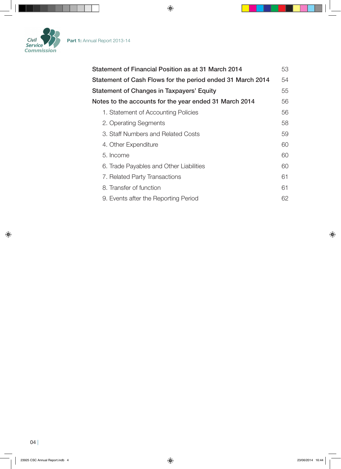$\bigcirc$ 



Part 1: Annual Report 2013-14

| Statement of Financial Position as at 31 March 2014        | 53 |
|------------------------------------------------------------|----|
| Statement of Cash Flows for the period ended 31 March 2014 | 54 |
| Statement of Changes in Taxpayers' Equity                  | 55 |
| Notes to the accounts for the year ended 31 March 2014     | 56 |
| 1. Statement of Accounting Policies                        | 56 |
| 2. Operating Segments                                      | 58 |
| 3. Staff Numbers and Related Costs                         | 59 |
| 4. Other Expenditure                                       | 60 |
| 5. Income                                                  | 60 |
| 6. Trade Payables and Other Liabilities                    | 60 |
| 7. Related Party Transactions                              | 61 |
| 8. Transfer of function                                    | 61 |
| 9. Events after the Reporting Period                       | 62 |

 $\bigcirc$ 

 $\mathbb{I}$  $\overline{\phantom{a}}$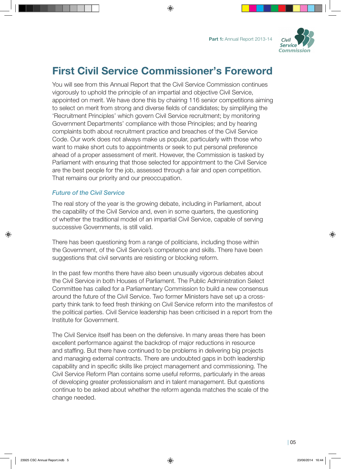

## First Civil Service Commissioner's Foreword

◈

You will see from this Annual Report that the Civil Service Commission continues vigorously to uphold the principle of an impartial and objective Civil Service, appointed on merit. We have done this by chairing 116 senior competitions aiming to select on merit from strong and diverse fields of candidates; by simplifying the 'Recruitment Principles' which govern Civil Service recruitment; by monitoring Government Departments' compliance with those Principles; and by hearing complaints both about recruitment practice and breaches of the Civil Service Code. Our work does not always make us popular, particularly with those who want to make short cuts to appointments or seek to put personal preference ahead of a proper assessment of merit. However, the Commission is tasked by Parliament with ensuring that those selected for appointment to the Civil Service are the best people for the job, assessed through a fair and open competition. That remains our priority and our preoccupation.

#### *Future of the Civil Service*

The real story of the year is the growing debate, including in Parliament, about the capability of the Civil Service and, even in some quarters, the questioning of whether the traditional model of an impartial Civil Service, capable of serving successive Governments, is still valid.

There has been questioning from a range of politicians, including those within the Government, of the Civil Service's competence and skills. There have been suggestions that civil servants are resisting or blocking reform.

In the past few months there have also been unusually vigorous debates about the Civil Service in both Houses of Parliament. The Public Administration Select Committee has called for a Parliamentary Commission to build a new consensus around the future of the Civil Service. Two former Ministers have set up a crossparty think tank to feed fresh thinking on Civil Service reform into the manifestos of the political parties. Civil Service leadership has been criticised in a report from the Institute for Government.

The Civil Service itself has been on the defensive. In many areas there has been excellent performance against the backdrop of major reductions in resource and staffing. But there have continued to be problems in delivering big projects and managing external contracts. There are undoubted gaps in both leadership capability and in specific skills like project management and commissioning. The Civil Service Reform Plan contains some useful reforms, particularly in the areas of developing greater professionalism and in talent management. But questions continue to be asked about whether the reform agenda matches the scale of the change needed.

◈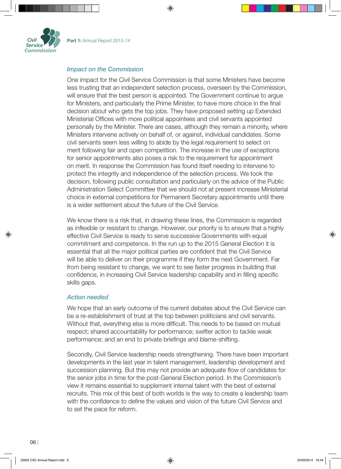

#### *Impact on the Commission*

One impact for the Civil Service Commission is that some Ministers have become less trusting that an independent selection process, overseen by the Commission, will ensure that the best person is appointed. The Government continue to argue for Ministers, and particularly the Prime Minister, to have more choice in the final decision about who gets the top jobs. They have proposed setting up Extended Ministerial Offices with more political appointees and civil servants appointed personally by the Minister. There are cases, although they remain a minority, where Ministers intervene actively on behalf of, or against, individual candidates. Some civil servants seem less willing to abide by the legal requirement to select on merit following fair and open competition. The increase in the use of exceptions for senior appointments also poses a risk to the requirement for appointment on merit. In response the Commission has found itself needing to intervene to protect the integrity and independence of the selection process. We took the decision, following public consultation and particularly on the advice of the Public Administration Select Committee that we should not at present increase Ministerial choice in external competitions for Permanent Secretary appointments until there is a wider settlement about the future of the Civil Service.

◈

We know there is a risk that, in drawing these lines, the Commission is regarded as inflexible or resistant to change. However, our priority is to ensure that a highly effective Civil Service is ready to serve successive Governments with equal commitment and competence. In the run up to the 2015 General Election it is essential that all the major political parties are confident that the Civil Service will be able to deliver on their programme if they form the next Government. Far from being resistant to change, we want to see faster progress in building that confidence, in increasing Civil Service leadership capability and in filling specific skills gaps.

#### *Action needed*

We hope that an early outcome of the current debates about the Civil Service can be a re-establishment of trust at the top between politicians and civil servants. Without that, everything else is more difficult. This needs to be based on mutual respect; shared accountability for performance; swifter action to tackle weak performance; and an end to private briefings and blame-shifting.

Secondly, Civil Service leadership needs strengthening. There have been important developments in the last year in talent management, leadership development and succession planning. But this may not provide an adequate flow of candidates for the senior jobs in time for the post-General Election period. In the Commission's view it remains essential to supplement internal talent with the best of external recruits. This mix of this best of both worlds is the way to create a leadership team with the confidence to define the values and vision of the future Civil Service and to set the pace for reform.

◈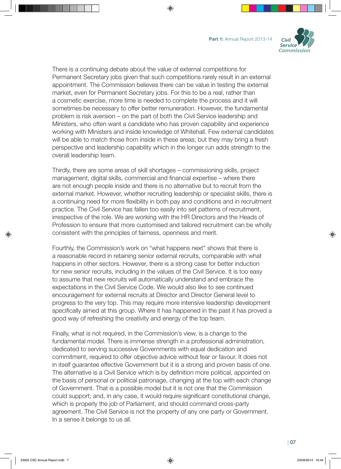

There is a continuing debate about the value of external competitions for Permanent Secretary jobs given that such competitions rarely result in an external appointment. The Commission believes there can be value in testing the external market, even for Permanent Secretary jobs. For this to be a real, rather than a cosmetic exercise, more time is needed to complete the process and it will sometimes be necessary to offer better remuneration. However, the fundamental problem is risk aversion – on the part of both the Civil Service leadership and Ministers, who often want a candidate who has proven capability and experience working with Ministers and inside knowledge of Whitehall. Few external candidates will be able to match those from inside in these areas; but they may bring a fresh perspective and leadership capability which in the longer run adds strength to the overall leadership team.

◈

Thirdly, there are some areas of skill shortages – commissioning skills, project management, digital skills, commercial and financial expertise – where there are not enough people inside and there is no alternative but to recruit from the external market. However, whether recruiting leadership or specialist skills, there is a continuing need for more flexibility in both pay and conditions and in recruitment practice. The Civil Service has fallen too easily into set patterns of recruitment, irrespective of the role. We are working with the HR Directors and the Heads of Profession to ensure that more customised and tailored recruitment can be wholly consistent with the principles of fairness, openness and merit.

Fourthly, the Commission's work on "what happens next" shows that there is a reasonable record in retaining senior external recruits, comparable with what happens in other sectors. However, there is a strong case for better induction for new senior recruits, including in the values of the Civil Service. It is too easy to assume that new recruits will automatically understand and embrace the expectations in the Civil Service Code. We would also like to see continued encouragement for external recruits at Director and Director General level to progress to the very top. This may require more intensive leadership development specifically aimed at this group. Where it has happened in the past it has proved a good way of refreshing the creativity and energy of the top team.

Finally, what is not required, in the Commission's view, is a change to the fundamental model. There is immense strength in a professional administration, dedicated to serving successive Governments with equal dedication and commitment, required to offer objective advice without fear or favour. It does not in itself guarantee effective Government but it is a strong and proven basis of one. The alternative is a Civil Service which is by definition more political, appointed on the basis of personal or political patronage, changing at the top with each change of Government. That is a possible model but it is not one that the Commission could support; and, in any case, it would require significant constitutional change, which is properly the job of Parliament, and should command cross-party agreement. The Civil Service is not the property of any one party or Government. In a sense it belongs to us all.

◈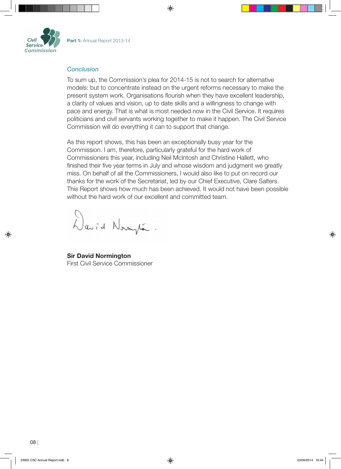

#### *Conclusion*

To sum up, the Commission's plea for 2014-15 is not to search for alternative models: but to concentrate instead on the urgent reforms necessary to make the present system work. Organisations flourish when they have excellent leadership, a clarity of values and vision, up to date skills and a willingness to change with pace and energy. That is what is most needed now in the Civil Service. It requires politicians and civil servants working together to make it happen. The Civil Service Commission will do everything it can to support that change.

◈

As this report shows, this has been an exceptionally busy year for the Commission. I am, therefore, particularly grateful for the hard work of Commissioners this year, including Neil McIntosh and Christine Hallett, who finished their five year terms in July and whose wisdom and judgment we greatly miss. On behalf of all the Commissioners, I would also like to put on record our thanks for the work of the Secretariat, led by our Chief Executive, Clare Salters. This Report shows how much has been achieved. It would not have been possible without the hard work of our excellent and committed team.

David Normylin

Sir David Normington First Civil Service Commissioner

◈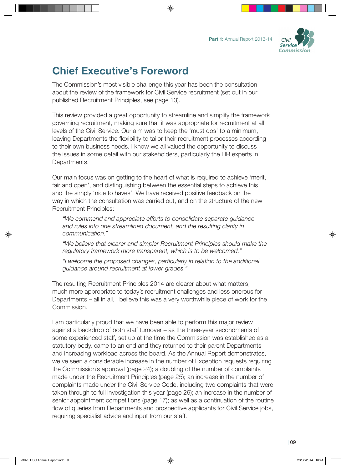

## Chief Executive's Foreword

The Commission's most visible challenge this year has been the consultation about the review of the framework for Civil Service recruitment (set out in our published Recruitment Principles, see page 13).

◈

This review provided a great opportunity to streamline and simplify the framework governing recruitment, making sure that it was appropriate for recruitment at all levels of the Civil Service. Our aim was to keep the 'must dos' to a minimum, leaving Departments the flexibility to tailor their recruitment processes according to their own business needs. I know we all valued the opportunity to discuss the issues in some detail with our stakeholders, particularly the HR experts in Departments.

Our main focus was on getting to the heart of what is required to achieve 'merit, fair and open', and distinguishing between the essential steps to achieve this and the simply 'nice to haves'. We have received positive feedback on the way in which the consultation was carried out, and on the structure of the new Recruitment Principles:

*"We commend and appreciate efforts to consolidate separate guidance and rules into one streamlined document, and the resulting clarity in communication."*

*"We believe that clearer and simpler Recruitment Principles should make the regulatory framework more transparent, which is to be welcomed."*

*"I welcome the proposed changes, particularly in relation to the additional guidance around recruitment at lower grades."*

The resulting Recruitment Principles 2014 are clearer about what matters, much more appropriate to today's recruitment challenges and less onerous for Departments – all in all, I believe this was a very worthwhile piece of work for the Commission.

I am particularly proud that we have been able to perform this major review against a backdrop of both staff turnover – as the three-year secondments of some experienced staff, set up at the time the Commission was established as a statutory body, came to an end and they returned to their parent Departments – and increasing workload across the board. As the Annual Report demonstrates, we've seen a considerable increase in the number of Exception requests requiring the Commission's approval (page 24); a doubling of the number of complaints made under the Recruitment Principles (page 25); an increase in the number of complaints made under the Civil Service Code, including two complaints that were taken through to full investigation this year (page 26); an increase in the number of senior appointment competitions (page 17); as well as a continuation of the routine flow of queries from Departments and prospective applicants for Civil Service jobs, requiring specialist advice and input from our staff.

◈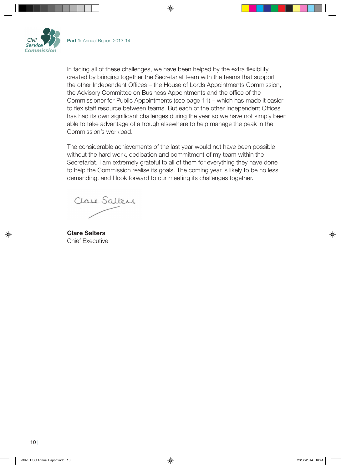

In facing all of these challenges, we have been helped by the extra flexibility created by bringing together the Secretariat team with the teams that support the other Independent Offices – the House of Lords Appointments Commission, the Advisory Committee on Business Appointments and the office of the Commissioner for Public Appointments (see page 11) – which has made it easier to flex staff resource between teams. But each of the other Independent Offices has had its own significant challenges during the year so we have not simply been able to take advantage of a trough elsewhere to help manage the peak in the Commission's workload.

 $\bigoplus$ 

The considerable achievements of the last year would not have been possible without the hard work, dedication and commitment of my team within the Secretariat. I am extremely grateful to all of them for everything they have done to help the Commission realise its goals. The coming year is likely to be no less demanding, and I look forward to our meeting its challenges together.

Clare Salters

Clare Salters Chief Executive

◈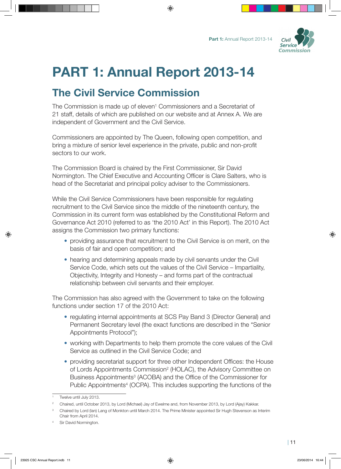

# PART 1: Annual Report 2013-14

◈

# The Civil Service Commission

The Commission is made up of eleven<sup>1</sup> Commissioners and a Secretariat of 21 staff, details of which are published on our website and at Annex A. We are independent of Government and the Civil Service.

Commissioners are appointed by The Queen, following open competition, and bring a mixture of senior level experience in the private, public and non-profit sectors to our work.

The Commission Board is chaired by the First Commissioner, Sir David Normington. The Chief Executive and Accounting Officer is Clare Salters, who is head of the Secretariat and principal policy adviser to the Commissioners.

While the Civil Service Commissioners have been responsible for regulating recruitment to the Civil Service since the middle of the nineteenth century, the Commission in its current form was established by the Constitutional Reform and Governance Act 2010 (referred to as 'the 2010 Act' in this Report). The 2010 Act assigns the Commission two primary functions:

- providing assurance that recruitment to the Civil Service is on merit, on the basis of fair and open competition; and
- hearing and determining appeals made by civil servants under the Civil Service Code, which sets out the values of the Civil Service – Impartiality, Objectivity, Integrity and Honesty – and forms part of the contractual relationship between civil servants and their employer.

The Commission has also agreed with the Government to take on the following functions under section 17 of the 2010 Act:

- regulating internal appointments at SCS Pay Band 3 (Director General) and Permanent Secretary level (the exact functions are described in the "Senior Appointments Protocol");
- working with Departments to help them promote the core values of the Civil Service as outlined in the Civil Service Code; and
- providing secretariat support for three other Independent Offices: the House of Lords Appointments Commission<sup>2</sup> (HOLAC), the Advisory Committee on Business Appointments<sup>3</sup> (ACOBA) and the Office of the Commissioner for Public Appointments<sup>4</sup> (OCPA). This includes supporting the functions of the

◈

Twelve until July 2013.

<sup>2</sup> Chaired, until October 2013, by Lord (Michael) Jay of Ewelme and, from November 2013, by Lord (Ajay) Kakkar.

<sup>3</sup> Chaired by Lord (Ian) Lang of Monkton until March 2014. The Prime Minister appointed Sir Hugh Stevenson as Interim Chair from April 2014.

Sir David Normington.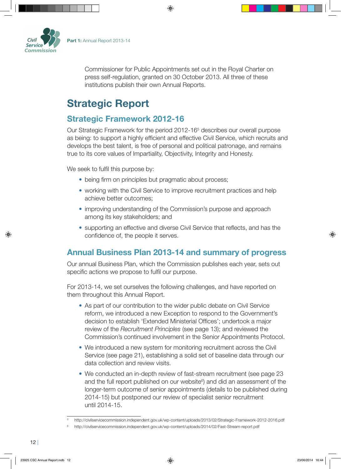Commissior

Part 1: Annual Report 2013-14

Commissioner for Public Appointments set out in the Royal Charter on press self-regulation, granted on 30 October 2013. All three of these institutions publish their own Annual Reports.

◈

## Strategic Report

### Strategic Framework 2012-16

Our Strategic Framework for the period 2012-16<sup>5</sup> describes our overall purpose as being: to support a highly efficient and effective Civil Service, which recruits and develops the best talent, is free of personal and political patronage, and remains true to its core values of Impartiality, Objectivity, Integrity and Honesty.

We seek to fulfil this purpose by:

- being firm on principles but pragmatic about process;
- working with the Civil Service to improve recruitment practices and help achieve better outcomes;
- improving understanding of the Commission's purpose and approach among its key stakeholders; and
- supporting an effective and diverse Civil Service that reflects, and has the confidence of, the people it serves.

### Annual Business Plan 2013-14 and summary of progress

Our annual Business Plan, which the Commission publishes each year, sets out specific actions we propose to fulfil our purpose.

For 2013-14, we set ourselves the following challenges, and have reported on them throughout this Annual Report.

- As part of our contribution to the wider public debate on Civil Service reform, we introduced a new Exception to respond to the Government's decision to establish 'Extended Ministerial Offices'; undertook a major review of the *Recruitment Principles* (see page 13); and reviewed the Commission's continued involvement in the Senior Appointments Protocol.
- We introduced a new system for monitoring recruitment across the Civil Service (see page 21), establishing a solid set of baseline data through our data collection and review visits.
- We conducted an in-depth review of fast-stream recruitment (see page 23 and the full report published on our website $6$ ) and did an assessment of the longer-term outcome of senior appointments (details to be published during 2014-15) but postponed our review of specialist senior recruitment until 2014-15.

◈

<sup>5</sup> http://civilservicecommission.independent.gov.uk/wp-content/uploads/2013/02/Strategic-Framework-2012-2016.pdf

<sup>6</sup> http://civilservicecommission.independent.gov.uk/wp-content/uploads/2014/02/Fast-Stream-report.pdf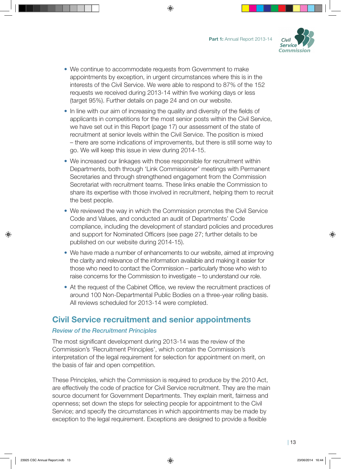

• We continue to accommodate requests from Government to make appointments by exception, in urgent circumstances where this is in the interests of the Civil Service. We were able to respond to 87% of the 152 requests we received during 2013-14 within five working days or less (target 95%). Further details on page 24 and on our website.

◈

- In line with our aim of increasing the quality and diversity of the fields of applicants in competitions for the most senior posts within the Civil Service, we have set out in this Report (page 17) our assessment of the state of recruitment at senior levels within the Civil Service. The position is mixed – there are some indications of improvements, but there is still some way to go. We will keep this issue in view during 2014-15.
- We increased our linkages with those responsible for recruitment within Departments, both through 'Link Commissioner' meetings with Permanent Secretaries and through strengthened engagement from the Commission Secretariat with recruitment teams. These links enable the Commission to share its expertise with those involved in recruitment, helping them to recruit the best people.
- We reviewed the way in which the Commission promotes the Civil Service Code and Values, and conducted an audit of Departments' Code compliance, including the development of standard policies and procedures and support for Nominated Officers (see page 27; further details to be published on our website during 2014-15).
- We have made a number of enhancements to our website, aimed at improving the clarity and relevance of the information available and making it easier for those who need to contact the Commission – particularly those who wish to raise concerns for the Commission to investigate – to understand our role.
- At the request of the Cabinet Office, we review the recruitment practices of around 100 Non-Departmental Public Bodies on a three-year rolling basis. All reviews scheduled for 2013-14 were completed.

### Civil Service recruitment and senior appointments

#### *Review of the Recruitment Principles*

The most significant development during 2013-14 was the review of the Commission's 'Recruitment Principles', which contain the Commission's interpretation of the legal requirement for selection for appointment on merit, on the basis of fair and open competition.

These Principles, which the Commission is required to produce by the 2010 Act, are effectively the code of practice for Civil Service recruitment. They are the main source document for Government Departments. They explain merit, fairness and openness; set down the steps for selecting people for appointment to the Civil Service; and specify the circumstances in which appointments may be made by exception to the legal requirement. Exceptions are designed to provide a flexible

◈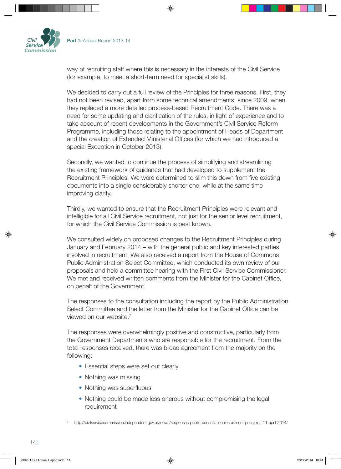

way of recruiting staff where this is necessary in the interests of the Civil Service (for example, to meet a short-term need for specialist skills).

◈

We decided to carry out a full review of the Principles for three reasons. First, they had not been revised, apart from some technical amendments, since 2009, when they replaced a more detailed process-based Recruitment Code. There was a need for some updating and clarification of the rules, in light of experience and to take account of recent developments in the Government's Civil Service Reform Programme, including those relating to the appointment of Heads of Department and the creation of Extended Ministerial Offices (for which we had introduced a special Exception in October 2013).

Secondly, we wanted to continue the process of simplifying and streamlining the existing framework of guidance that had developed to supplement the Recruitment Principles. We were determined to slim this down from five existing documents into a single considerably shorter one, while at the same time improving clarity.

Thirdly, we wanted to ensure that the Recruitment Principles were relevant and intelligible for all Civil Service recruitment, not just for the senior level recruitment, for which the Civil Service Commission is best known.

We consulted widely on proposed changes to the Recruitment Principles during January and February 2014 – with the general public and key interested parties involved in recruitment. We also received a report from the House of Commons Public Administration Select Committee, which conducted its own review of our proposals and held a committee hearing with the First Civil Service Commissioner. We met and received written comments from the Minister for the Cabinet Office, on behalf of the Government.

The responses to the consultation including the report by the Public Administration Select Committee and the letter from the Minister for the Cabinet Office can be viewed on our website.7

The responses were overwhelmingly positive and constructive, particularly from the Government Departments who are responsible for the recruitment. From the total responses received, there was broad agreement from the majority on the following:

- Essential steps were set out clearly
- Nothing was missing
- Nothing was superfluous
- Nothing could be made less onerous without compromising the legal requirement

◈

<sup>7</sup> http://civilservicecommission.independent.gov.uk/news/responses-public-consultation-recruitment-principles-11-april-2014/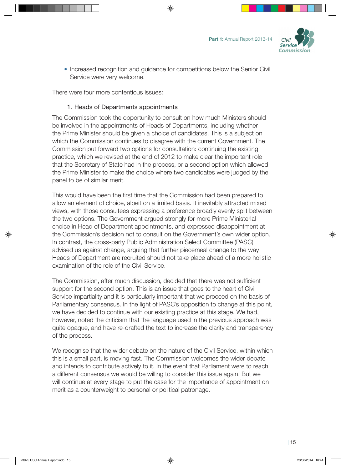



• Increased recognition and guidance for competitions below the Senior Civil Service were very welcome.

⊕

There were four more contentious issues:

#### 1. Heads of Departments appointments

The Commission took the opportunity to consult on how much Ministers should be involved in the appointments of Heads of Departments, including whether the Prime Minister should be given a choice of candidates. This is a subject on which the Commission continues to disagree with the current Government. The Commission put forward two options for consultation: continuing the existing practice, which we revised at the end of 2012 to make clear the important role that the Secretary of State had in the process, or a second option which allowed the Prime Minister to make the choice where two candidates were judged by the panel to be of similar merit.

This would have been the first time that the Commission had been prepared to allow an element of choice, albeit on a limited basis. It inevitably attracted mixed views, with those consultees expressing a preference broadly evenly split between the two options. The Government argued strongly for more Prime Ministerial choice in Head of Department appointments, and expressed disappointment at the Commission's decision not to consult on the Government's own wider option. In contrast, the cross-party Public Administration Select Committee (PASC) advised us against change, arguing that further piecemeal change to the way Heads of Department are recruited should not take place ahead of a more holistic examination of the role of the Civil Service.

The Commission, after much discussion, decided that there was not sufficient support for the second option. This is an issue that goes to the heart of Civil Service impartiality and it is particularly important that we proceed on the basis of Parliamentary consensus. In the light of PASC's opposition to change at this point, we have decided to continue with our existing practice at this stage. We had, however, noted the criticism that the language used in the previous approach was quite opaque, and have re-drafted the text to increase the clarity and transparency of the process.

We recognise that the wider debate on the nature of the Civil Service, within which this is a small part, is moving fast. The Commission welcomes the wider debate and intends to contribute actively to it. In the event that Parliament were to reach a different consensus we would be willing to consider this issue again. But we will continue at every stage to put the case for the importance of appointment on merit as a counterweight to personal or political patronage.

◈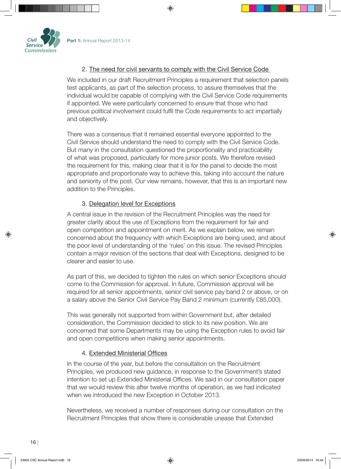

#### 2. The need for civil servants to comply with the Civil Service Code

⊕

We included in our draft Recruitment Principles a requirement that selection panels test applicants, as part of the selection process, to assure themselves that the individual would be capable of complying with the Civil Service Code requirements if appointed. We were particularly concerned to ensure that those who had previous political involvement could fulfil the Code requirements to act impartially and objectively.

There was a consensus that it remained essential everyone appointed to the Civil Service should understand the need to comply with the Civil Service Code. But many in the consultation questioned the proportionality and practicability of what was proposed, particularly for more junior posts. We therefore revised the requirement for this, making clear that it is for the panel to decide the most appropriate and proportionate way to achieve this, taking into account the nature and seniority of the post. Our view remains, however, that this is an important new addition to the Principles.

#### 3. Delegation level for Exceptions

A central issue in the revision of the Recruitment Principles was the need for greater clarity about the use of Exceptions from the requirement for fair and open competition and appointment on merit. As we explain below, we remain concerned about the frequency with which Exceptions are being used, and about the poor level of understanding of the 'rules' on this issue. The revised Principles contain a major revision of the sections that deal with Exceptions, designed to be clearer and easier to use.

As part of this, we decided to tighten the rules on which senior Exceptions should come to the Commission for approval. In future, Commission approval will be required for all senior appointments, senior civil service pay band 2 or above, or on a salary above the Senior Civil Service Pay Band 2 minimum (currently £85,000).

This was generally not supported from within Government but, after detailed consideration, the Commission decided to stick to its new position. We are concerned that some Departments may be using the Exception rules to avoid fair and open competitions when making senior appointments.

#### 4. Extended Ministerial Offices

In the course of the year, but before the consultation on the Recruitment Principles, we produced new guidance, in response to the Government's stated intention to set up Extended Ministerial Offices. We said in our consultation paper that we would review this after twelve months of operation, as we had indicated when we introduced the new Exception in October 2013.

Nevertheless, we received a number of responses during our consultation on the Recruitment Principles that show there is considerable unease that Extended

◈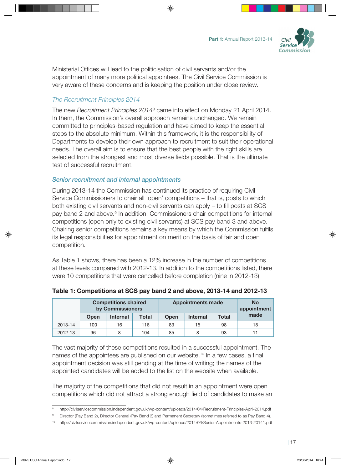



Ministerial Offices will lead to the politicisation of civil servants and/or the appointment of many more political appointees. The Civil Service Commission is very aware of these concerns and is keeping the position under close review.

⊕

#### *The Recruitment Principles 2014*

The new *Recruitment Principles 2014*<sup>8</sup> came into effect on Monday 21 April 2014. In them, the Commission's overall approach remains unchanged. We remain committed to principles-based regulation and have aimed to keep the essential steps to the absolute minimum. Within this framework, it is the responsibility of Departments to develop their own approach to recruitment to suit their operational needs. The overall aim is to ensure that the best people with the right skills are selected from the strongest and most diverse fields possible. That is the ultimate test of successful recruitment.

#### *Senior recruitment and internal appointments*

During 2013-14 the Commission has continued its practice of requiring Civil Service Commissioners to chair all 'open' competitions – that is, posts to which both existing civil servants and non-civil servants can apply – to fill posts at SCS pay band 2 and above.<sup>9</sup> In addition, Commissioners chair competitions for internal competitions (open only to existing civil servants) at SCS pay band 3 and above. Chairing senior competitions remains a key means by which the Commission fulfils its legal responsibilities for appointment on merit on the basis of fair and open competition.

As Table 1 shows, there has been a 12% increase in the number of competitions at these levels compared with 2012-13. In addition to the competitions listed, there were 10 competitions that were cancelled before completion (nine in 2012-13).

|         |      | <b>Competitions chaired</b><br>by Commissioners |       | <b>Appointments made</b> |                 |              | <b>No</b><br>appointment |
|---------|------|-------------------------------------------------|-------|--------------------------|-----------------|--------------|--------------------------|
|         | Open | Internal                                        | Total | Open                     | <b>Internal</b> | <b>Total</b> | made                     |
| 2013-14 | 100  | 16                                              | 116   | 83                       | 15              | 98           | 18                       |
| 2012-13 | 96   | 8                                               | 104   | 85                       |                 | 93           | 11                       |

#### Table 1: Competitions at SCS pay band 2 and above, 2013-14 and 2012-13

The vast majority of these competitions resulted in a successful appointment. The names of the appointees are published on our website.<sup>10</sup> In a few cases, a final appointment decision was still pending at the time of writing; the names of the appointed candidates will be added to the list on the website when available.

The majority of the competitions that did not result in an appointment were open competitions which did not attract a strong enough field of candidates to make an

◈

<sup>8</sup> http://civilservicecommission.independent.gov.uk/wp-content/uploads/2014/04/Recruitment-Principles-April-2014.pdf

Director (Pay Band 2), Director General (Pay Band 3) and Permanent Secretary (sometimes referred to as Pay Band 4).

<sup>10</sup> http://civilservicecommission.independent.gov.uk/wp-content/uploads/2014/06/Senior-Appointments-2013-20141.pdf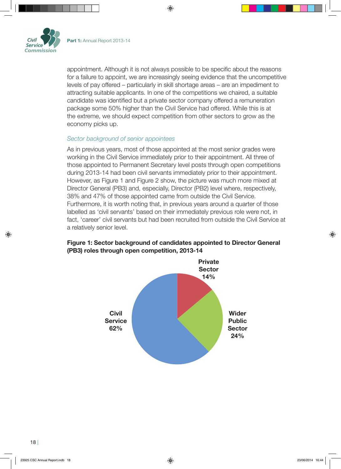

appointment. Although it is not always possible to be specific about the reasons for a failure to appoint, we are increasingly seeing evidence that the uncompetitive levels of pay offered – particularly in skill shortage areas – are an impediment to attracting suitable applicants. In one of the competitions we chaired, a suitable candidate was identified but a private sector company offered a remuneration package some 50% higher than the Civil Service had offered. While this is at the extreme, we should expect competition from other sectors to grow as the economy picks up.

◈

#### *Sector background of senior appointees*

As in previous years, most of those appointed at the most senior grades were working in the Civil Service immediately prior to their appointment. All three of those appointed to Permanent Secretary level posts through open competitions during 2013-14 had been civil servants immediately prior to their appointment. However, as Figure 1 and Figure 2 show, the picture was much more mixed at Director General (PB3) and, especially, Director (PB2) level where, respectively, 38% and 47% of those appointed came from outside the Civil Service. Furthermore, it is worth noting that, in previous years around a quarter of those labelled as 'civil servants' based on their immediately previous role were not, in fact, 'career' civil servants but had been recruited from outside the Civil Service at a relatively senior level.



#### Figure 1: Sector background of candidates appointed to Director General (PB3) roles through open competition, 2013-14

◈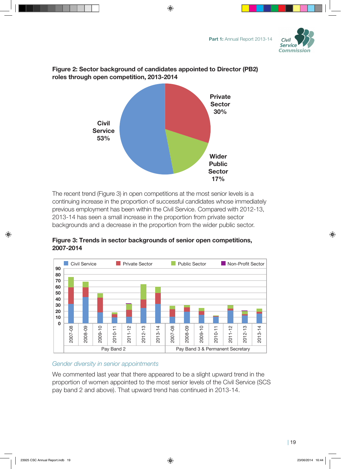





Figure 2: Sector background of candidates appointed to Director (PB2) roles through open competition, 2013-2014

 $\bigoplus$ 

The recent trend (Figure 3) in open competitions at the most senior levels is a continuing increase in the proportion of successful candidates whose immediately previous employment has been within the Civil Service. Compared with 2012-13, 2013-14 has seen a small increase in the proportion from private sector backgrounds and a decrease in the proportion from the wider public sector.

Figure 3: Trends in sector backgrounds of senior open competitions, 2007-2014



#### *Gender diversity in senior appointments*

We commented last year that there appeared to be a slight upward trend in the proportion of women appointed to the most senior levels of the Civil Service (SCS pay band 2 and above). That upward trend has continued in 2013-14.

◈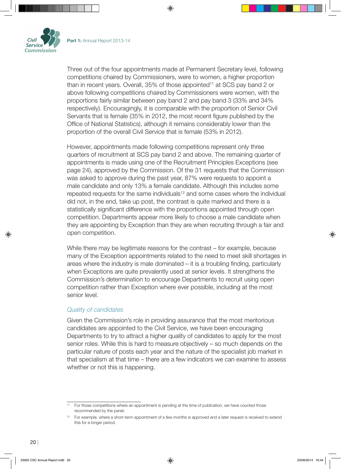Commission

Part 1: Annual Report 2013-14

Three out of the four appointments made at Permanent Secretary level, following competitions chaired by Commissioners, were to women, a higher proportion than in recent years. Overall, 35% of those appointed<sup>11</sup> at SCS pay band 2 or above following competitions chaired by Commissioners were women, with the proportions fairly similar between pay band 2 and pay band 3 (33% and 34% respectively). Encouragingly, it is comparable with the proportion of Senior Civil Servants that is female (35% in 2012, the most recent figure published by the Office of National Statistics), although it remains considerably lower than the proportion of the overall Civil Service that is female (53% in 2012).

⊕

However, appointments made following competitions represent only three quarters of recruitment at SCS pay band 2 and above. The remaining quarter of appointments is made using one of the Recruitment Principles Exceptions (see page 24), approved by the Commission. Of the 31 requests that the Commission was asked to approve during the past year, 87% were requests to appoint a male candidate and only 13% a female candidate. Although this includes some repeated requests for the same individuals<sup>12</sup> and some cases where the individual did not, in the end, take up post, the contrast is quite marked and there is a statistically significant difference with the proportions appointed through open competition. Departments appear more likely to choose a male candidate when they are appointing by Exception than they are when recruiting through a fair and open competition.

While there may be legitimate reasons for the contrast – for example, because many of the Exception appointments related to the need to meet skill shortages in areas where the industry is male dominated – it is a troubling finding, particularly when Exceptions are quite prevalently used at senior levels. It strengthens the Commission's determination to encourage Departments to recruit using open competition rather than Exception where ever possible, including at the most senior level.

#### *Quality of candidates*

Given the Commission's role in providing assurance that the most meritorious candidates are appointed to the Civil Service, we have been encouraging Departments to try to attract a higher quality of candidates to apply for the most senior roles. While this is hard to measure objectively – so much depends on the particular nature of posts each year and the nature of the specialist job market in that specialism at that time – there are a few indicators we can examine to assess whether or not this is happening.

◈

For those competitions where an appointment is pending at the time of publication, we have counted those recommended by the panel.

<sup>12</sup> For example, where a short-term appointment of a few months is approved and a later request is received to extend this for a longer period.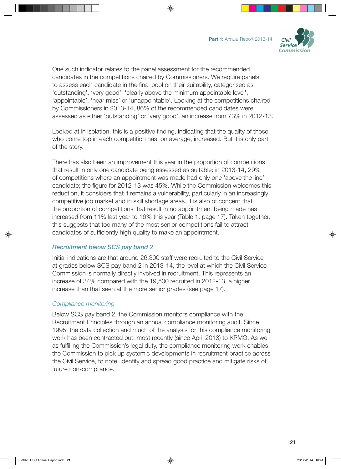

One such indicator relates to the panel assessment for the recommended candidates in the competitions chaired by Commissioners. We require panels to assess each candidate in the final pool on their suitability, categorised as 'outstanding', 'very good', 'clearly above the minimum appointable level', 'appointable', 'near miss' or 'unappointable'. Looking at the competitions chaired by Commissioners in 2013-14, 86% of the recommended candidates were assessed as either 'outstanding' or 'very good', an increase from 73% in 2012-13.

 $\bigoplus$ 

Looked at in isolation, this is a positive finding, indicating that the quality of those who come top in each competition has, on average, increased. But it is only part of the story.

There has also been an improvement this year in the proportion of competitions that result in only one candidate being assessed as suitable: in 2013-14, 29% of competitions where an appointment was made had only one 'above the line' candidate; the figure for 2012-13 was 45%. While the Commission welcomes this reduction, it considers that it remains a vulnerability, particularly in an increasingly competitive job market and in skill shortage areas. It is also of concern that the proportion of competitions that result in no appointment being made has increased from 11% last year to 16% this year (Table 1, page 17). Taken together, this suggests that too many of the most senior competitions fail to attract candidates of sufficiently high quality to make an appointment.

#### *Recruitment below SCS pay band 2*

Initial indications are that around 26,300 staff were recruited to the Civil Service at grades below SCS pay band 2 in 2013-14, the level at which the Civil Service Commission is normally directly involved in recruitment. This represents an increase of 34% compared with the 19,500 recruited in 2012-13, a higher increase than that seen at the more senior grades (see page 17).

#### *Compliance monitoring*

Below SCS pay band 2, the Commission monitors compliance with the Recruitment Principles through an annual compliance monitoring audit. Since 1995, the data collection and much of the analysis for this compliance monitoring work has been contracted out, most recently (since April 2013) to KPMG. As well as fulfilling the Commission's legal duty, the compliance monitoring work enables the Commission to pick up systemic developments in recruitment practice across the Civil Service, to note, identify and spread good practice and mitigate risks of future non-compliance.

◈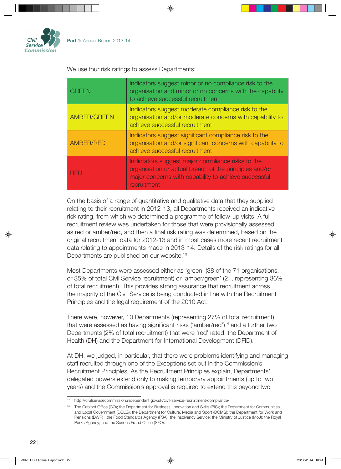

We use four risk ratings to assess Departments:

| I GREEN            | Indicators suggest minor or no compliance risk to the<br>organisation and minor or no concerns with the capability<br>to achieve successful recruitment                            |
|--------------------|------------------------------------------------------------------------------------------------------------------------------------------------------------------------------------|
| <b>AMBER/GREEN</b> | Indicators suggest moderate compliance risk to the<br>organisation and/or moderate concerns with capability to<br>achieve successful recruitment                                   |
| <b>AMBER/RED</b>   | Indicators suggest significant compliance risk to the<br>organisation and/or significant concerns with capability to<br>achieve successful recruitment                             |
| RFD                | Indictators suggest major compliance risks to the<br>organisation or actual breach of the principles and/or<br>major concerns with capability to achieve successful<br>recruitment |

⊕

On the basis of a range of quantitative and qualitative data that they supplied relating to their recruitment in 2012-13, all Departments received an indicative risk rating, from which we determined a programme of follow-up visits. A full recruitment review was undertaken for those that were provisionally assessed as red or amber/red, and then a final risk rating was determined, based on the original recruitment data for 2012-13 and in most cases more recent recruitment data relating to appointments made in 2013-14. Details of the risk ratings for all Departments are published on our website.<sup>13</sup>

Most Departments were assessed either as 'green' (38 of the 71 organisations, or 35% of total Civil Service recruitment) or 'amber/green' (21, representing 36% of total recruitment). This provides strong assurance that recruitment across the majority of the Civil Service is being conducted in line with the Recruitment Principles and the legal requirement of the 2010 Act.

There were, however, 10 Departments (representing 27% of total recruitment) that were assessed as having significant risks ('amber/red')14 and a further two Departments (2% of total recruitment) that were 'red' rated: the Department of Health (DH) and the Department for International Development (DFID).

At DH, we judged, in particular, that there were problems identifying and managing staff recruited through one of the Exceptions set out in the Commission's Recruitment Principles. As the Recruitment Principles explain, Departments' delegated powers extend only to making temporary appointments (up to two years) and the Commission's approval is required to extend this beyond two

◈

<sup>13</sup> http://civilservicecommission.independent.gov.uk/civil-service-recruitment/compliance/

<sup>14</sup> The Cabinet Office (CO); the Department for Business, Innovation and Skills (BIS); the Department for Communities and Local Government (DCLG); the Department for Culture, Media and Sport (DCMS); the Department for Work and Pensions (DWP) ; the Food Standards Agency (FSA); the Insolvency Service; the Ministry of Justice (MoJ); the Royal Parks Agency; and the Serious Fraud Office (SFO).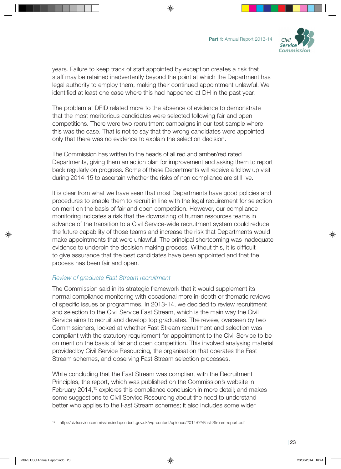

years. Failure to keep track of staff appointed by exception creates a risk that staff may be retained inadvertently beyond the point at which the Department has legal authority to employ them, making their continued appointment unlawful. We identified at least one case where this had happened at DH in the past year.

⊕

The problem at DFID related more to the absence of evidence to demonstrate that the most meritorious candidates were selected following fair and open competitions. There were two recruitment campaigns in our test sample where this was the case. That is not to say that the wrong candidates were appointed, only that there was no evidence to explain the selection decision.

The Commission has written to the heads of all red and amber/red rated Departments, giving them an action plan for improvement and asking them to report back regularly on progress. Some of these Departments will receive a follow up visit during 2014-15 to ascertain whether the risks of non compliance are still live.

It is clear from what we have seen that most Departments have good policies and procedures to enable them to recruit in line with the legal requirement for selection on merit on the basis of fair and open competition. However, our compliance monitoring indicates a risk that the downsizing of human resources teams in advance of the transition to a Civil Service-wide recruitment system could reduce the future capability of those teams and increase the risk that Departments would make appointments that were unlawful. The principal shortcoming was inadequate evidence to underpin the decision making process. Without this, it is difficult to give assurance that the best candidates have been appointed and that the process has been fair and open.

#### *Review of graduate Fast Stream recruitment*

The Commission said in its strategic framework that it would supplement its normal compliance monitoring with occasional more in-depth or thematic reviews of specific issues or programmes. In 2013-14, we decided to review recruitment and selection to the Civil Service Fast Stream, which is the main way the Civil Service aims to recruit and develop top graduates. The review, overseen by two Commissioners, looked at whether Fast Stream recruitment and selection was compliant with the statutory requirement for appointment to the Civil Service to be on merit on the basis of fair and open competition. This involved analysing material provided by Civil Service Resourcing, the organisation that operates the Fast Stream schemes, and observing Fast Stream selection processes.

While concluding that the Fast Stream was compliant with the Recruitment Principles, the report, which was published on the Commission's website in February 2014,<sup>15</sup> explores this compliance conclusion in more detail; and makes some suggestions to Civil Service Resourcing about the need to understand better who applies to the Fast Stream schemes; it also includes some wider

◈

<sup>15</sup> http://civilservicecommission.independent.gov.uk/wp-content/uploads/2014/02/Fast-Stream-report.pdf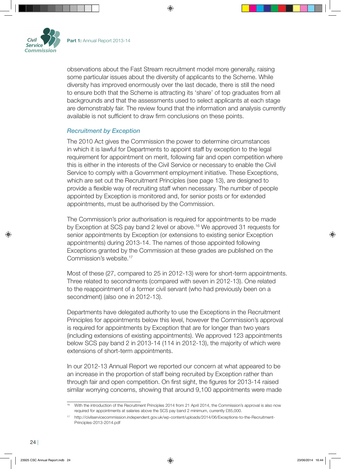

observations about the Fast Stream recruitment model more generally, raising some particular issues about the diversity of applicants to the Scheme. While diversity has improved enormously over the last decade, there is still the need to ensure both that the Scheme is attracting its 'share' of top graduates from all backgrounds and that the assessments used to select applicants at each stage are demonstrably fair. The review found that the information and analysis currently available is not sufficient to draw firm conclusions on these points.

⊕

#### *Recruitment by Exception*

The 2010 Act gives the Commission the power to determine circumstances in which it is lawful for Departments to appoint staff by exception to the legal requirement for appointment on merit, following fair and open competition where this is either in the interests of the Civil Service or necessary to enable the Civil Service to comply with a Government employment initiative. These Exceptions, which are set out the Recruitment Principles (see page 13), are designed to provide a flexible way of recruiting staff when necessary. The number of people appointed by Exception is monitored and, for senior posts or for extended appointments, must be authorised by the Commission.

The Commission's prior authorisation is required for appointments to be made by Exception at SCS pay band 2 level or above.<sup>16</sup> We approved 31 requests for senior appointments by Exception (or extensions to existing senior Exception appointments) during 2013-14. The names of those appointed following Exceptions granted by the Commission at these grades are published on the Commission's website.17

Most of these (27, compared to 25 in 2012-13) were for short-term appointments. Three related to secondments (compared with seven in 2012-13). One related to the reappointment of a former civil servant (who had previously been on a secondment) (also one in 2012-13).

Departments have delegated authority to use the Exceptions in the Recruitment Principles for appointments below this level, however the Commission's approval is required for appointments by Exception that are for longer than two years (including extensions of existing appointments). We approved 123 appointments below SCS pay band 2 in 2013-14 (114 in 2012-13), the majority of which were extensions of short-term appointments.

In our 2012-13 Annual Report we reported our concern at what appeared to be an increase in the proportion of staff being recruited by Exception rather than through fair and open competition. On first sight, the figures for 2013-14 raised similar worrying concerns, showing that around 9,100 appointments were made

◈

<sup>16</sup> With the introduction of the Recruitment Principles 2014 from 21 April 2014, the Commission's approval is also now required for appointments at salaries above the SCS pay band 2 minimum, currently £85,000.

<sup>17</sup> http://civilservicecommission.independent.gov.uk/wp-content/uploads/2014/06/Exceptions-to-the-Recruitment-Principles-2013-2014.pdf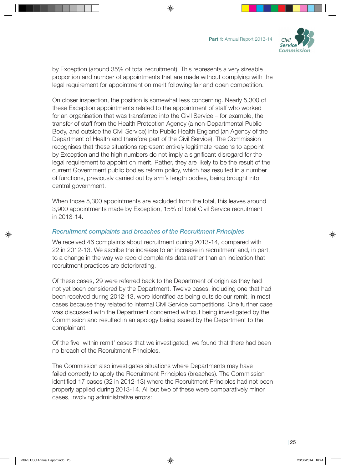

by Exception (around 35% of total recruitment). This represents a very sizeable proportion and number of appointments that are made without complying with the legal requirement for appointment on merit following fair and open competition.

◈

On closer inspection, the position is somewhat less concerning. Nearly 5,300 of these Exception appointments related to the appointment of staff who worked for an organisation that was transferred into the Civil Service – for example, the transfer of staff from the Health Protection Agency (a non-Departmental Public Body, and outside the Civil Service) into Public Health England (an Agency of the Department of Health and therefore part of the Civil Service). The Commission recognises that these situations represent entirely legitimate reasons to appoint by Exception and the high numbers do not imply a significant disregard for the legal requirement to appoint on merit. Rather, they are likely to be the result of the current Government public bodies reform policy, which has resulted in a number of functions, previously carried out by arm's length bodies, being brought into central government.

When those 5,300 appointments are excluded from the total, this leaves around 3,900 appointments made by Exception, 15% of total Civil Service recruitment in 2013-14.

#### *Recruitment complaints and breaches of the Recruitment Principles*

We received 46 complaints about recruitment during 2013-14, compared with 22 in 2012-13. We ascribe the increase to an increase in recruitment and, in part, to a change in the way we record complaints data rather than an indication that recruitment practices are deteriorating.

Of these cases, 29 were referred back to the Department of origin as they had not yet been considered by the Department. Twelve cases, including one that had been received during 2012-13, were identified as being outside our remit, in most cases because they related to internal Civil Service competitions. One further case was discussed with the Department concerned without being investigated by the Commission and resulted in an apology being issued by the Department to the complainant.

Of the five 'within remit' cases that we investigated, we found that there had been no breach of the Recruitment Principles.

The Commission also investigates situations where Departments may have failed correctly to apply the Recruitment Principles (breaches). The Commission identified 17 cases (32 in 2012-13) where the Recruitment Principles had not been properly applied during 2013-14. All but two of these were comparatively minor cases, involving administrative errors:

◈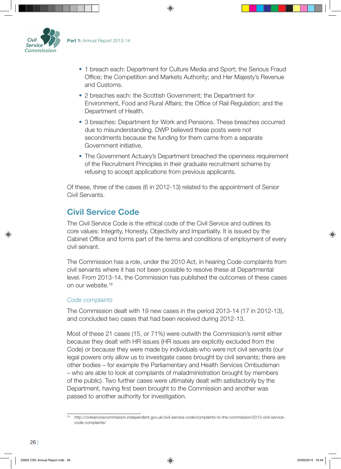⊕



Part 1: Annual Report 2013-14

- 1 breach each: Department for Culture Media and Sport; the Serious Fraud Office; the Competition and Markets Authority; and Her Majesty's Revenue and Customs.
- 2 breaches each: the Scottish Government; the Department for Environment, Food and Rural Affairs; the Office of Rail Regulation; and the Department of Health.
- 3 breaches: Department for Work and Pensions. These breaches occurred due to misunderstanding. DWP believed these posts were not secondments because the funding for them came from a separate Government initiative.
- The Government Actuary's Department breached the openness requirement of the Recruitment Principles in their graduate recruitment scheme by refusing to accept applications from previous applicants.

Of these, three of the cases (6 in 2012-13) related to the appointment of Senior Civil Servants.

### Civil Service Code

The Civil Service Code is the ethical code of the Civil Service and outlines its core values: Integrity, Honesty, Objectivity and Impartiality. It is issued by the Cabinet Office and forms part of the terms and conditions of employment of every civil servant.

The Commission has a role, under the 2010 Act, in hearing Code complaints from civil servants where it has not been possible to resolve these at Departmental level. From 2013-14, the Commission has published the outcomes of these cases on our website.<sup>18</sup>

#### *Code complaints*

The Commission dealt with 19 new cases in the period 2013-14 (17 in 2012-13), and concluded two cases that had been received during 2012-13.

Most of these 21 cases (15, or 71%) were outwith the Commission's remit either because they dealt with HR issues (HR issues are explicitly excluded from the Code) or because they were made by individuals who were not civil servants (our legal powers only allow us to investigate cases brought by civil servants; there are other bodies – for example the Parliamentary and Health Services Ombudsman – who are able to look at complaints of maladministration brought by members of the public). Two further cases were ultimately dealt with satisfactorily by the Department, having first been brought to the Commission and another was passed to another authority for investigation.

◈

<sup>18</sup> http://civilservicecommission.independent.gov.uk/civil-service-code/complaints-to-the-commission/2013-civil-servicecode-complaints/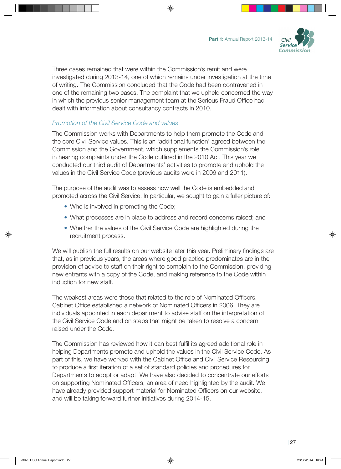

Three cases remained that were within the Commission's remit and were investigated during 2013-14, one of which remains under investigation at the time of writing. The Commission concluded that the Code had been contravened in one of the remaining two cases. The complaint that we upheld concerned the way in which the previous senior management team at the Serious Fraud Office had dealt with information about consultancy contracts in 2010.

◈

#### *Promotion of the Civil Service Code and values*

The Commission works with Departments to help them promote the Code and the core Civil Service values. This is an 'additional function' agreed between the Commission and the Government, which supplements the Commission's role in hearing complaints under the Code outlined in the 2010 Act. This year we conducted our third audit of Departments' activities to promote and uphold the values in the Civil Service Code (previous audits were in 2009 and 2011).

The purpose of the audit was to assess how well the Code is embedded and promoted across the Civil Service. In particular, we sought to gain a fuller picture of:

- Who is involved in promoting the Code;
- What processes are in place to address and record concerns raised; and
- Whether the values of the Civil Service Code are highlighted during the recruitment process.

We will publish the full results on our website later this year. Preliminary findings are that, as in previous years, the areas where good practice predominates are in the provision of advice to staff on their right to complain to the Commission, providing new entrants with a copy of the Code, and making reference to the Code within induction for new staff.

The weakest areas were those that related to the role of Nominated Officers. Cabinet Office established a network of Nominated Officers in 2006. They are individuals appointed in each department to advise staff on the interpretation of the Civil Service Code and on steps that might be taken to resolve a concern raised under the Code.

The Commission has reviewed how it can best fulfil its agreed additional role in helping Departments promote and uphold the values in the Civil Service Code. As part of this, we have worked with the Cabinet Office and Civil Service Resourcing to produce a first iteration of a set of standard policies and procedures for Departments to adopt or adapt. We have also decided to concentrate our efforts on supporting Nominated Officers, an area of need highlighted by the audit. We have already provided support material for Nominated Officers on our website, and will be taking forward further initiatives during 2014-15.

◈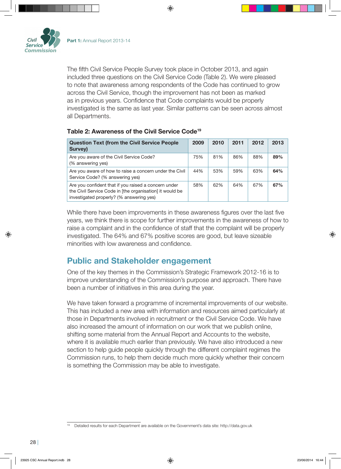

The fifth Civil Service People Survey took place in October 2013, and again included three questions on the Civil Service Code (Table 2). We were pleased to note that awareness among respondents of the Code has continued to grow across the Civil Service, though the improvement has not been as marked as in previous years. Confidence that Code complaints would be properly investigated is the same as last year. Similar patterns can be seen across almost all Departments.

⊕

#### Table 2: Awareness of the Civil Service Code<sup>19</sup>

| <b>Question Text (from the Civil Service People</b><br>Survey)                                                                                               | 2009 | 2010 | 2011 | 2012 | 2013 |
|--------------------------------------------------------------------------------------------------------------------------------------------------------------|------|------|------|------|------|
| Are you aware of the Civil Service Code?<br>(% answering yes)                                                                                                | 75%  | 81%  | 86%  | 88%  | 89%  |
| Are you aware of how to raise a concern under the Civil<br>Service Code? (% answering yes)                                                                   | 44%  | 53%  | 59%  | 63%  | 64%  |
| Are you confident that if you raised a concern under<br>the Civil Service Code in [the organisation] it would be<br>investigated properly? (% answering yes) | 58%  | 62%  | 64%  | 67%  | 67%  |

While there have been improvements in these awareness figures over the last five years, we think there is scope for further improvements in the awareness of how to raise a complaint and in the confidence of staff that the complaint will be properly investigated. The 64% and 67% positive scores are good, but leave sizeable minorities with low awareness and confidence.

## Public and Stakeholder engagement

One of the key themes in the Commission's Strategic Framework 2012-16 is to improve understanding of the Commission's purpose and approach. There have been a number of initiatives in this area during the year.

We have taken forward a programme of incremental improvements of our website. This has included a new area with information and resources aimed particularly at those in Departments involved in recruitment or the Civil Service Code. We have also increased the amount of information on our work that we publish online, shifting some material from the Annual Report and Accounts to the website, where it is available much earlier than previously. We have also introduced a new section to help guide people quickly through the different complaint regimes the Commission runs, to help them decide much more quickly whether their concern is something the Commission may be able to investigate.

◈

<sup>19</sup> Detailed results for each Department are available on the Government's data site: http://data.gov.uk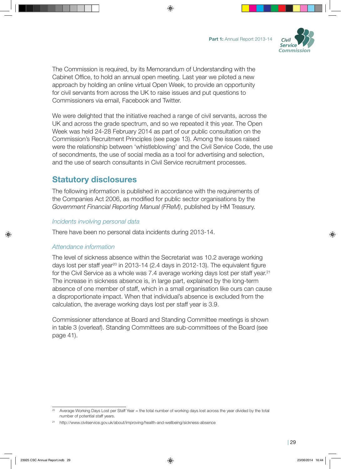

The Commission is required, by its Memorandum of Understanding with the Cabinet Office, to hold an annual open meeting. Last year we piloted a new approach by holding an online virtual Open Week, to provide an opportunity for civil servants from across the UK to raise issues and put questions to Commissioners via email, Facebook and Twitter.

⊕

We were delighted that the initiative reached a range of civil servants, across the UK and across the grade spectrum, and so we repeated it this year. The Open Week was held 24-28 February 2014 as part of our public consultation on the Commission's Recruitment Principles (see page 13). Among the issues raised were the relationship between 'whistleblowing' and the Civil Service Code, the use of secondments, the use of social media as a tool for advertising and selection, and the use of search consultants in Civil Service recruitment processes.

### Statutory disclosures

The following information is published in accordance with the requirements of the Companies Act 2006, as modified for public sector organisations by the *Government Financial Reporting Manual (FReM)*, published by HM Treasury.

#### *Incidents involving personal data*

There have been no personal data incidents during 2013-14.

#### *Attendance information*

◈

The level of sickness absence within the Secretariat was 10.2 average working days lost per staff year<sup>20</sup> in 2013-14 (2.4 days in 2012-13). The equivalent figure for the Civil Service as a whole was 7.4 average working days lost per staff year.<sup>21</sup> The increase in sickness absence is, in large part, explained by the long-term absence of one member of staff, which in a small organisation like ours can cause a disproportionate impact. When that individual's absence is excluded from the calculation, the average working days lost per staff year is 3.9.

Commissioner attendance at Board and Standing Committee meetings is shown in table 3 (overleaf). Standing Committees are sub-committees of the Board (see page 41).

Average Working Days Lost per Staff Year = the total number of working days lost across the year divided by the total number of potential staff years.

http://www.civilservice.gov.uk/about/improving/health-and-wellbeing/sickness-absence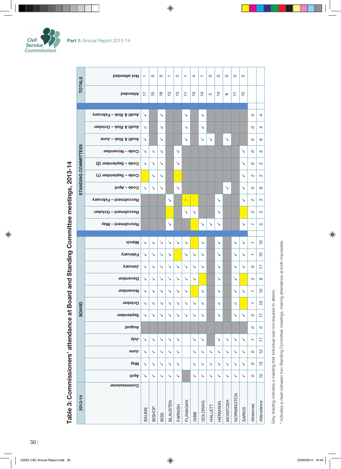

|                                              | <b>TOTALS</b>       | Not attended                       | $\overline{\phantom{0}}$ | $\circ$       | $\circ$                 | $\overline{\phantom{0}}$ | $\sim$  | $\overline{\phantom{0}}$ | 4               | $\overline{\phantom{0}}$ | $\circ$ | $\circ$       | $\circ$         | $\circ$    | S             |                          |                 |                                                                      |
|----------------------------------------------|---------------------|------------------------------------|--------------------------|---------------|-------------------------|--------------------------|---------|--------------------------|-----------------|--------------------------|---------|---------------|-----------------|------------|---------------|--------------------------|-----------------|----------------------------------------------------------------------|
|                                              |                     | bebnettA                           | $\overline{1}$           | $\frac{5}{1}$ | $\frac{\infty}{\infty}$ | $\frac{1}{2}$            | င္      | Ξ                        | $\widetilde{C}$ | $\overline{4}$           | 5       | $\frac{4}{7}$ | ဖ               | Ξ          | $\frac{5}{1}$ |                          |                 |                                                                      |
|                                              |                     |                                    |                          |               |                         |                          |         |                          |                 |                          |         |               |                 |            |               |                          |                 |                                                                      |
|                                              |                     | <b>Audit &amp; Risk - February</b> | ↘                        |               | ↘                       |                          |         | ↘                        |                 | ↘                        |         |               |                 |            |               | $\circ$                  | 4               |                                                                      |
|                                              |                     | Audit & Risk - October             | ↘                        |               | ↘                       |                          |         | ↘                        |                 | ↘                        |         |               |                 |            |               | O                        | 4               |                                                                      |
|                                              |                     | <b>Suuldi &amp; Risk - June</b>    | ↘                        |               | ↘                       |                          |         | $\searrow$               |                 | ↘                        | ↘       |               | ↘               |            |               | $\circ$                  | ဖ               |                                                                      |
|                                              |                     | Code - November                    | ↘                        | ↘             | ↘                       |                          | ↘       |                          |                 |                          |         |               |                 |            | ↘             | $\circ$                  | 5               |                                                                      |
|                                              |                     | Code - September (2)               | ↘                        | ↘             | ↘                       |                          | ↘       |                          |                 |                          |         |               |                 |            | ↘             | $\circ$                  | 5               |                                                                      |
|                                              |                     | Code - September (1)               |                          | ↘             | ↘                       |                          |         |                          |                 |                          |         |               |                 |            | ↘             | N                        | ო               |                                                                      |
|                                              | STANDING COMMITTEES | lingA - abo <sup>2</sup>           | ↘                        | ↘             | ↘                       |                          | ↘       |                          |                 |                          |         |               | ↘               |            | ↘             | $\circ$                  | 6               |                                                                      |
|                                              |                     | Recruitment - February             |                          |               |                         | $\searrow$               |         | $\ast$                   |                 |                          |         | ↘             |                 |            | ↘             | $\mathbf{C}$             | S               |                                                                      |
|                                              |                     | <b>Recruitment - October</b>       |                          |               |                         |                          |         | ↘                        | ↘               |                          |         | ↘             |                 |            |               | $\mathbf{c}$             | S               |                                                                      |
| ard and Standing Committee meetings, 2013-14 |                     | <b>Recruitment - May</b>           |                          |               |                         | ↘                        |         |                          |                 | ↘                        | ↘       | ↘             |                 |            | ↘             | T                        | 5               |                                                                      |
|                                              |                     |                                    |                          |               |                         |                          |         |                          |                 |                          |         |               |                 |            |               |                          |                 |                                                                      |
|                                              |                     | March                              | ↘                        | ↘             | ↘                       | ↘                        | ↘       | ↘                        |                 | ↘                        |         | ↘             |                 | ↘          | ↘             | $\overline{\phantom{0}}$ | 70              |                                                                      |
|                                              |                     | <b>February</b>                    | ↘                        | ↘             | ↘                       | ↘                        |         | ↘                        | ↘               | ↘                        |         | ↘             |                 | ↘          | ↘             | $\overline{\phantom{0}}$ | 70              |                                                                      |
|                                              |                     | <b><i><u>Auenuer</u></i></b>       | ↘                        | ↘             | ↘                       | ↘                        | ↘       | ↘                        | ↘               | ↘                        |         | ↘             |                 | ↘          | ↘             | $\circ$                  | 11              |                                                                      |
|                                              |                     | <b>December</b>                    | ↘                        | ↘             | ↘                       | ↘                        | ↘       | ↘                        | ↘               |                          |         | ↘             |                 | ↘          |               | $\mathbf{c}$             | σ               |                                                                      |
|                                              |                     | November                           | ↘                        | ↘             | ↘                       | ↘                        |         | ↘                        |                 | ↘                        |         | ↘             |                 | ↘          | ↘             | T                        | 70              | attend.                                                              |
|                                              | <b>BOARD</b>        | October                            | ↘                        | ↘             | ↘                       | ↘                        | ↘       | ↘                        | ↘               | ↘                        |         | ↘             |                 | ↘          |               | $\overline{ }$           | 5               |                                                                      |
|                                              |                     | September                          | ↘                        | ↘             | ↘                       | ↘                        | ↘       | ↘                        | ↘               | ↘                        |         | ↘             |                 | ↘          | ↘             | $\circ$                  | 11              |                                                                      |
|                                              |                     | <b>J</b><br><b>j</b><br>BuguA      |                          |               |                         |                          |         |                          |                 |                          |         |               |                 |            |               | O                        | $\circ$         |                                                                      |
|                                              |                     | ∧լոր                               | ↘                        | ↘             | ↘                       | ↘                        | ↘       |                          | ↘               | ↘                        |         | ↘             | ↘               | ↘          | ↘             | $\overline{ }$           | $\overline{11}$ |                                                                      |
|                                              |                     | June                               | ↘                        | ↘             | ↘                       | ↘                        | ↘       |                          | ↘               | ↘                        | ↘       | ↘             | ↘               | ↘          | ↘             | $\circ$                  | 27              |                                                                      |
|                                              |                     | yay                                | ↘                        | ↘             | ↘                       | ↘                        | ↘       |                          | ↘               | ↘                        | ↘       | ↘             | ↘               | ↘          | ↘             | $\circ$                  | 73              |                                                                      |
|                                              |                     | linqA                              | ↘                        | ↘             | ↘                       | ↘                        | ↘       |                          | ↘               | ↘                        | ↘       | ↘             | ↘               | ↘          | ↘             | $\circ$                  | 72              |                                                                      |
| Table 3: Commissioners' attendance at Bo     | $2013 - 14$         | Commissioner                       | <b>BAUME</b>             | <b>BISHOP</b> | <b>BISS</b>             | <b>BLAUSTEN</b>          | FARNISH | FLANAGAN                 | GIBB            | GOLDWAG                  | HALLETT | HERMANN       | <b>MCINTOSH</b> | NORMINGTON | <b>SARKIS</b> | Absences                 | Attendance      | Grey shading indicates a meeting that individual was not required to |

 $\bigcirc$ 

\* indicates a clash between two Standing Committee meetings, making attendance at both impossible. \* indicates a clash between two Standing Committee meetings, making attendance at both impossible.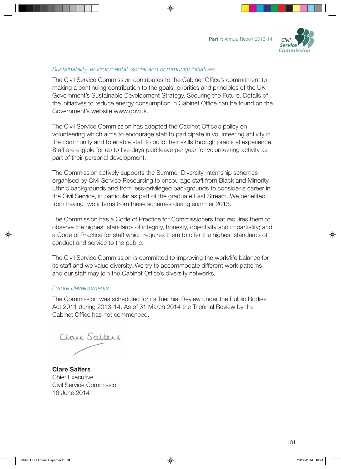



#### *Sustainability, environmental, social and community initiatives*

The Civil Service Commission contributes to the Cabinet Office's commitment to making a continuing contribution to the goals, priorities and principles of the UK Government's Sustainable Development Strategy, Securing the Future. Details of the initiatives to reduce energy consumption in Cabinet Office can be found on the Government's website www.gov.uk.

◈

The Civil Service Commission has adopted the Cabinet Office's policy on volunteering which aims to encourage staff to participate in volunteering activity in the community and to enable staff to build their skills through practical experience. Staff are eligible for up to five days paid leave per year for volunteering activity as part of their personal development.

The Commission actively supports the Summer Diversity Internship schemes organised by Civil Service Resourcing to encourage staff from Black and Minority Ethnic backgrounds and from less-privileged backgrounds to consider a career in the Civil Service, in particular as part of the graduate Fast Stream. We benefited from having two interns from these schemes during summer 2013.

The Commission has a Code of Practice for Commissioners that requires them to observe the highest standards of integrity, honesty, objectivity and impartiality; and a Code of Practice for staff which requires them to offer the highest standards of conduct and service to the public.

The Civil Service Commission is committed to improving the work/life balance for its staff and we value diversity. We try to accommodate different work patterns and our staff may join the Cabinet Office's diversity networks.

#### *Future developments*

The Commission was scheduled for its Triennial Review under the Public Bodies Act 2011 during 2013-14. As of 31 March 2014 the Triennial Review by the Cabinet Office has not commenced.

Clare Salters

Clare Salters Chief Executive Civil Service Commission 16 June 2014

◈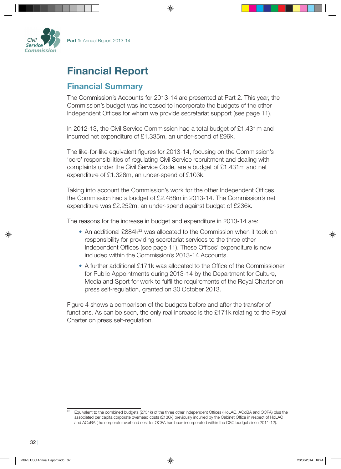

## Financial Report

### Financial Summary

The Commission's Accounts for 2013-14 are presented at Part 2. This year, the Commission's budget was increased to incorporate the budgets of the other Independent Offices for whom we provide secretariat support (see page 11).

◈

In 2012-13, the Civil Service Commission had a total budget of £1.431m and incurred net expenditure of £1.335m, an under-spend of £96k.

The like-for-like equivalent figures for 2013-14, focusing on the Commission's 'core' responsibilities of regulating Civil Service recruitment and dealing with complaints under the Civil Service Code, are a budget of £1.431m and net expenditure of £1.328m, an under-spend of £103k.

Taking into account the Commission's work for the other Independent Offices, the Commission had a budget of £2.488m in 2013-14. The Commission's net expenditure was £2.252m, an under-spend against budget of £236k.

The reasons for the increase in budget and expenditure in 2013-14 are:

- An additional £884k<sup>22</sup> was allocated to the Commission when it took on responsibility for providing secretariat services to the three other Independent Offices (see page 11). These Offices' expenditure is now included within the Commission's 2013-14 Accounts.
- A further additional £171k was allocated to the Office of the Commissioner for Public Appointments during 2013-14 by the Department for Culture, Media and Sport for work to fulfil the requirements of the Royal Charter on press self-regulation, granted on 30 October 2013.

Figure 4 shows a comparison of the budgets before and after the transfer of functions. As can be seen, the only real increase is the £171k relating to the Royal Charter on press self-regulation.

◈

Equivalent to the combined budgets (£754k) of the three other Independent Offices (HoLAC, ACoBA and OCPA) plus the associated per capita corporate overhead costs (£130k) previously incurred by the Cabinet Office in respect of HoLAC and ACoBA (the corporate overhead cost for OCPA has been incorporated within the CSC budget since 2011-12).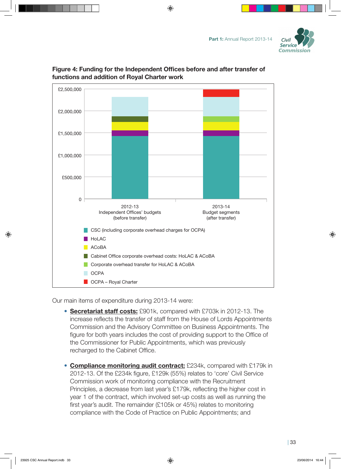





#### Figure 4: Funding for the Independent Offices before and after transfer of functions and addition of Royal Charter work

 $\bigoplus$ 

Our main items of expenditure during 2013-14 were:

- Secretariat staff costs: £901k, compared with £703k in 2012-13. The increase reflects the transfer of staff from the House of Lords Appointments Commission and the Advisory Committee on Business Appointments. The figure for both years includes the cost of providing support to the Office of the Commissioner for Public Appointments, which was previously recharged to the Cabinet Office.
- Compliance monitoring audit contract: £234k, compared with £179k in 2012-13. Of the £234k figure, £129k (55%) relates to 'core' Civil Service Commission work of monitoring compliance with the Recruitment Principles, a decrease from last year's £179k, reflecting the higher cost in year 1 of the contract, which involved set-up costs as well as running the first year's audit. The remainder (£105k or 45%) relates to monitoring compliance with the Code of Practice on Public Appointments; and

◈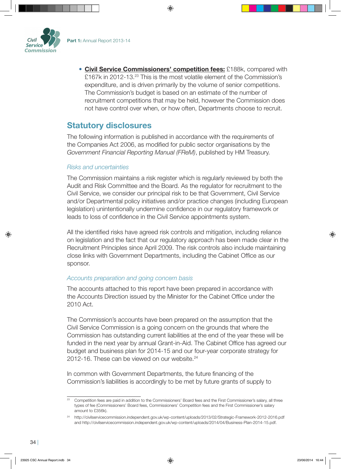

**• Civil Service Commissioners' competition fees: £188k, compared with** £167k in 2012-13.23 This is the most volatile element of the Commission's expenditure, and is driven primarily by the volume of senior competitions. The Commission's budget is based on an estimate of the number of recruitment competitions that may be held, however the Commission does not have control over when, or how often, Departments choose to recruit.

## Statutory disclosures

The following information is published in accordance with the requirements of the Companies Act 2006, as modified for public sector organisations by the *Government Financial Reporting Manual (FReM)*, published by HM Treasury.

⊕

#### *Risks and uncertainties*

The Commission maintains a risk register which is regularly reviewed by both the Audit and Risk Committee and the Board. As the regulator for recruitment to the Civil Service, we consider our principal risk to be that Government, Civil Service and/or Departmental policy initiatives and/or practice changes (including European legislation) unintentionally undermine confidence in our regulatory framework or leads to loss of confidence in the Civil Service appointments system.

All the identified risks have agreed risk controls and mitigation, including reliance on legislation and the fact that our regulatory approach has been made clear in the Recruitment Principles since April 2009. The risk controls also include maintaining close links with Government Departments, including the Cabinet Office as our sponsor.

#### *Accounts preparation and going concern basis*

The accounts attached to this report have been prepared in accordance with the Accounts Direction issued by the Minister for the Cabinet Office under the 2010 Act.

The Commission's accounts have been prepared on the assumption that the Civil Service Commission is a going concern on the grounds that where the Commission has outstanding current liabilities at the end of the year these will be funded in the next year by annual Grant-in-Aid. The Cabinet Office has agreed our budget and business plan for 2014-15 and our four-year corporate strategy for 2012-16. These can be viewed on our website. $24$ 

In common with Government Departments, the future financing of the Commission's liabilities is accordingly to be met by future grants of supply to

◈

<sup>23</sup> Competition fees are paid in addition to the Commissioners' Board fees and the First Commissioner's salary, all three types of fee (Commissioners' Board fees, Commissioners' Competition fees and the First Commissioner's salary amount to £356k).

<sup>24</sup> http://civilservicecommission.independent.gov.uk/wp-content/uploads/2013/02/Strategic-Framework-2012-2016.pdf and http://civilservicecommission.independent.gov.uk/wp-content/uploads/2014/04/Business-Plan-2014-15.pdf.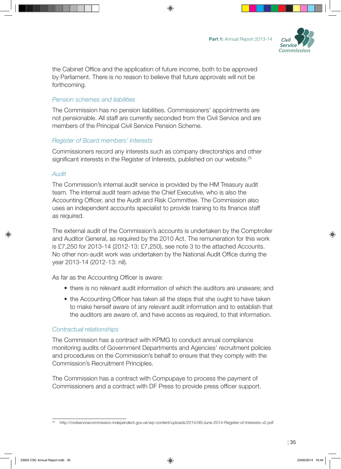

the Cabinet Office and the application of future income, both to be approved by Parliament. There is no reason to believe that future approvals will not be forthcoming.

◈

#### *Pension schemes and liabilities*

The Commission has no pension liabilities. Commissioners' appointments are not pensionable. All staff are currently seconded from the Civil Service and are members of the Principal Civil Service Pension Scheme.

#### *Register of Board members' interests*

Commissioners record any interests such as company directorships and other significant interests in the Register of Interests, published on our website.<sup>25</sup>

#### *Audit*

◈

The Commission's internal audit service is provided by the HM Treasury audit team. The internal audit team advise the Chief Executive, who is also the Accounting Officer, and the Audit and Risk Committee. The Commission also uses an independent accounts specialist to provide training to its finance staff as required.

The external audit of the Commission's accounts is undertaken by the Comptroller and Auditor General, as required by the 2010 Act. The remuneration for this work is £7,250 for 2013-14 (2012-13: £7,250), see note 3 to the attached Accounts. No other non-audit work was undertaken by the National Audit Office during the year 2013-14 (2012-13: nil).

As far as the Accounting Officer is aware:

- there is no relevant audit information of which the auditors are unaware; and
- the Accounting Officer has taken all the steps that she ought to have taken to make herself aware of any relevant audit information and to establish that the auditors are aware of, and have access as required, to that information.

#### *Contractual relationships*

The Commission has a contract with KPMG to conduct annual compliance monitoring audits of Government Departments and Agencies' recruitment policies and procedures on the Commission's behalf to ensure that they comply with the Commission's Recruitment Principles.

The Commission has a contract with Compupaye to process the payment of Commissioners and a contract with DF Press to provide press officer support.

<sup>25</sup> http://civilservicecommission.independent.gov.uk/wp-content/uploads/2014/06/June-2014-Register-of-Interests-v2.pdf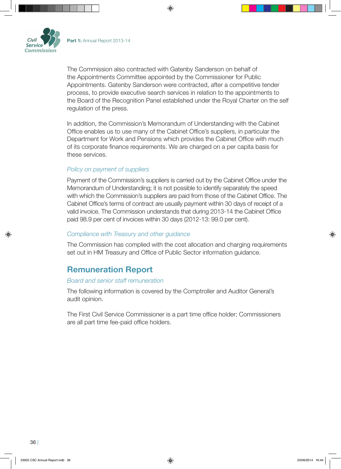

The Commission also contracted with Gatenby Sanderson on behalf of the Appointments Committee appointed by the Commissioner for Public Appointments. Gatenby Sanderson were contracted, after a competitive tender process, to provide executive search services in relation to the appointments to the Board of the Recognition Panel established under the Royal Charter on the self regulation of the press.

◈

In addition, the Commission's Memorandum of Understanding with the Cabinet Office enables us to use many of the Cabinet Office's suppliers, in particular the Department for Work and Pensions which provides the Cabinet Office with much of its corporate finance requirements. We are charged on a per capita basis for these services.

#### *Policy on payment of suppliers*

Payment of the Commission's suppliers is carried out by the Cabinet Office under the Memorandum of Understanding; it is not possible to identify separately the speed with which the Commission's suppliers are paid from those of the Cabinet Office. The Cabinet Office's terms of contract are usually payment within 30 days of receipt of a valid invoice. The Commission understands that during 2013-14 the Cabinet Office paid 98.9 per cent of invoices within 30 days (2012-13: 99.0 per cent).

#### *Compliance with Treasury and other guidance*

The Commission has complied with the cost allocation and charging requirements set out in HM Treasury and Office of Public Sector information guidance.

### Remuneration Report

#### *Board and senior staff remuneration*

The following information is covered by the Comptroller and Auditor General's audit opinion.

The First Civil Service Commissioner is a part time office holder; Commissioners are all part time fee-paid office holders.

◈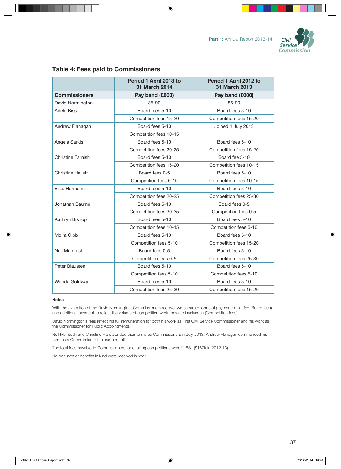



#### Table 4: Fees paid to Commissioners

|                          | Period 1 April 2013 to<br>31 March 2014 | Period 1 April 2012 to<br>31 March 2013 |  |  |
|--------------------------|-----------------------------------------|-----------------------------------------|--|--|
| <b>Commissioners</b>     | Pay band (£000)                         | Pay band (£000)                         |  |  |
| David Normington         | 85-90                                   | $85 - 90$                               |  |  |
| <b>Adele Biss</b>        | Board fees 5-10                         | Board fees 5-10                         |  |  |
|                          | Competition fees 15-20                  | Competition fees 15-20                  |  |  |
| Andrew Flanagan          | Board fees 5-10                         | Joined 1 July 2013                      |  |  |
|                          | Competition fees 10-15                  |                                         |  |  |
| Angela Sarkis            | Board fees 5-10                         | Board fees 5-10                         |  |  |
|                          | Competition fees 20-25                  | Competition fees 15-20                  |  |  |
| <b>Christine Farnish</b> | Board fees 5-10                         | Board fee 5-10                          |  |  |
|                          | Competition fees 15-20                  | Competition fees 10-15                  |  |  |
| <b>Christine Hallett</b> | Board fees 0-5                          | Board fees 5-10                         |  |  |
|                          | Competition fees 5-10                   | Competition fees 10-15                  |  |  |
| Eliza Hermann            | Board fees 5-10                         | Board fees 5-10                         |  |  |
|                          | Competition fees 20-25                  | Competition fees 25-30                  |  |  |
| Jonathan Baume           | Board fees 5-10                         | Board fees 0-5                          |  |  |
|                          | Competition fees 30-35                  | Competition fees 0-5                    |  |  |
| Kathryn Bishop           | Board fees 5-10                         | Board fees 5-10                         |  |  |
|                          | Competition fees 10-15                  | Competition fees 5-10                   |  |  |
| Moira Gibb               | Board fees 5-10                         | Board fees 5-10                         |  |  |
|                          | Competition fees 5-10                   | Competition fees 15-20                  |  |  |
| Neil McIntosh            | Board fees 0-5                          | Board fees 5-10                         |  |  |
|                          | Competition fees 0-5                    | Competition fees 25-30                  |  |  |
| Peter Blausten           | Board fees 5-10                         | Board fees 5-10                         |  |  |
|                          | Competition fees 5-10                   | Competition fees 5-10                   |  |  |
| Wanda Goldwag            | Board fees 5-10                         | Board fees 5-10                         |  |  |
|                          | Competition fees 25-30                  | Competition fees 15-20                  |  |  |

 $\bigoplus$ 

#### Notes

◈

With the exception of the David Normington, Commissioners receive two separate forms of payment: a flat fee (Board fees) and additional payment to reflect the volume of competition work they are involved in (Competition fees).

David Normington's fees reflect his full remuneration for both his work as First Civil Service Commissioner and his work as the Commissioner for Public Appointments.

Neil McIntosh and Christine Hallett ended their terms as Commissioners in July 2013. Andrew Flanagan commenced his term as a Commissioner the same month.

The total fees payable to Commissioners for chairing competitions were £188k (£167k in 2012-13).

No bonuses or benefits in kind were received in year.

 $\bigcirc$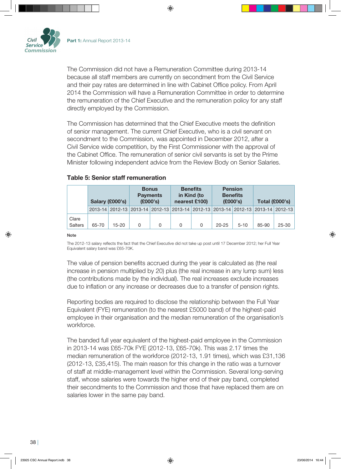

The Commission did not have a Remuneration Committee during 2013-14 because all staff members are currently on secondment from the Civil Service and their pay rates are determined in line with Cabinet Office policy. From April 2014 the Commission will have a Remuneration Committee in order to determine the remuneration of the Chief Executive and the remuneration policy for any staff directly employed by the Commission.

⊕

The Commission has determined that the Chief Executive meets the definition of senior management. The current Chief Executive, who is a civil servant on secondment to the Commission, was appointed in December 2012, after a Civil Service wide competition, by the First Commissioner with the approval of the Cabinet Office. The remuneration of senior civil servants is set by the Prime Minister following independent advice from the Review Body on Senior Salaries.

| Table 5: Senior staff remuneration |  |
|------------------------------------|--|
|------------------------------------|--|

|                         |       | Salary (£000's) |                                                                                 | <b>Bonus</b><br><b>Payments</b><br>(£000's) |   | <b>Benefits</b><br>in Kind (to<br>nearest £100) |           | <b>Pension</b><br><b>Benefits</b><br>(£000's) | <b>Total (£000's)</b> |           |  |
|-------------------------|-------|-----------------|---------------------------------------------------------------------------------|---------------------------------------------|---|-------------------------------------------------|-----------|-----------------------------------------------|-----------------------|-----------|--|
|                         |       |                 | 2013-14 2012-13 2013-14 2012-13 2013-14 2012-13 2013-14 2012-13 2013-14 2012-13 |                                             |   |                                                 |           |                                               |                       |           |  |
| Clare<br><b>Salters</b> | 65-70 | 15-20           | 0                                                                               | 0                                           | 0 | 0                                               | $20 - 25$ | $5 - 10$                                      | 85-90                 | $25 - 30$ |  |

#### **Note**

◈

The 2012-13 salary reflects the fact that the Chief Executive did not take up post until 17 December 2012; her Full Year Equivalent salary band was £65-70K.

The value of pension benefits accrued during the year is calculated as (the real increase in pension multiplied by 20) plus (the real increase in any lump sum) less (the contributions made by the individual). The real increases exclude increases due to inflation or any increase or decreases due to a transfer of pension rights.

Reporting bodies are required to disclose the relationship between the Full Year Equivalent (FYE) remuneration (to the nearest £5000 band) of the highest-paid employee in their organisation and the median remuneration of the organisation's workforce.

The banded full year equivalent of the highest-paid employee in the Commission in 2013-14 was £65-70k FYE (2012-13, £65-70k). This was 2.17 times the median remuneration of the workforce (2012-13, 1.91 times), which was £31,136 (2012-13, £35,415). The main reason for this change in the ratio was a turnover of staff at middle-management level within the Commission. Several long-serving staff, whose salaries were towards the higher end of their pay band, completed their secondments to the Commission and those that have replaced them are on salaries lower in the same pay band.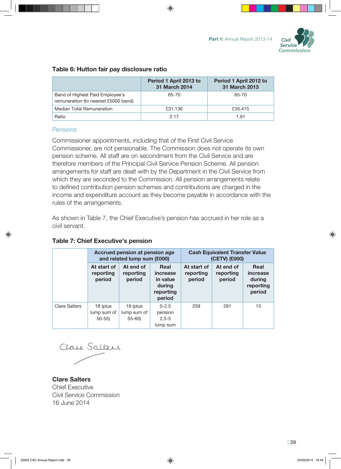



#### Table 6: Hutton fair pay disclosure ratio

|                                                                         | Period 1 April 2013 to<br>31 March 2014 | Period 1 April 2012 to<br>31 March 2013 |
|-------------------------------------------------------------------------|-----------------------------------------|-----------------------------------------|
| Band of Highest Paid Employee's<br>remuneration (to nearest £5000 band) | 65-70                                   | 65-70                                   |
| Median Total Remuneration                                               | £31,136                                 | £35,415                                 |
| Ratio                                                                   | 2 17                                    | 1.91                                    |

 $\bigoplus$ 

#### *Pensions*

◈

Commissioner appointments, including that of the First Civil Service Commissioner, are not pensionable. The Commission does not operate its own pension scheme. All staff are on secondment from the Civil Service and are therefore members of the Principal Civil Service Pension Scheme. All pension arrangements for staff are dealt with by the Department in the Civil Service from which they are seconded to the Commission. All pension arrangements relate to defined contribution pension schemes and contributions are charged in the income and expenditure account as they become payable in accordance with the rules of the arrangements.

As shown in Table 7, the Chief Executive's pension has accrued in her role as a civil servant.

|                      |                                                                        | Accrued pension at pension age<br>and related lump sum (£000) |                                                               | <b>Cash Equivalent Transfer Value</b><br>(CETV) (£000) |                                  |                                                   |  |  |
|----------------------|------------------------------------------------------------------------|---------------------------------------------------------------|---------------------------------------------------------------|--------------------------------------------------------|----------------------------------|---------------------------------------------------|--|--|
|                      | At end of<br>At start of<br>reporting<br>reporting<br>period<br>period |                                                               | Real<br>increase<br>in value<br>during<br>reporting<br>period | At start of<br>reporting<br>period                     | At end of<br>reporting<br>period | Real<br>increase<br>during<br>reporting<br>period |  |  |
| <b>Clare Salters</b> | 18 (plus<br>lump sum of<br>$50 - 55$                                   | 19 (plus<br>lump sum of<br>$55 - 60$                          | $0 - 2.5$<br>pension<br>$2.5 - 5$<br>lump sum                 | 259                                                    | 291                              | 13                                                |  |  |

#### Table 7: Chief Executive's pension

Clare Salters

Clare Salters Chief Executive Civil Service Commission 16 June 2014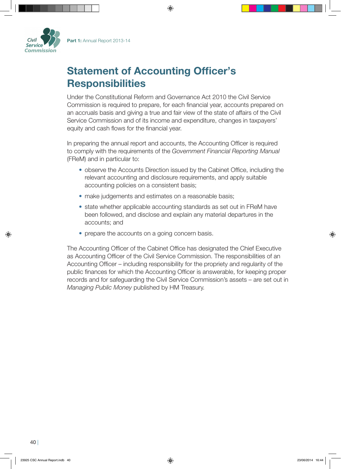# Statement of Accounting Officer's **Responsibilities**

Under the Constitutional Reform and Governance Act 2010 the Civil Service Commission is required to prepare, for each financial year, accounts prepared on an accruals basis and giving a true and fair view of the state of affairs of the Civil Service Commission and of its income and expenditure, changes in taxpayers' equity and cash flows for the financial year.

◈

In preparing the annual report and accounts, the Accounting Officer is required to comply with the requirements of the *Government Financial Reporting Manual*  (FReM) and in particular to:

- observe the Accounts Direction issued by the Cabinet Office, including the relevant accounting and disclosure requirements, and apply suitable accounting policies on a consistent basis;
- make judgements and estimates on a reasonable basis;
- state whether applicable accounting standards as set out in FReM have been followed, and disclose and explain any material departures in the accounts; and
- prepare the accounts on a going concern basis.

The Accounting Officer of the Cabinet Office has designated the Chief Executive as Accounting Officer of the Civil Service Commission. The responsibilities of an Accounting Officer – including responsibility for the propriety and regularity of the public finances for which the Accounting Officer is answerable, for keeping proper records and for safeguarding the Civil Service Commission's assets – are set out in *Managing Public Money* published by HM Treasury.

◈

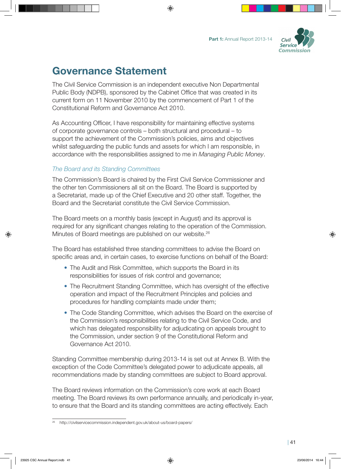



## Governance Statement

The Civil Service Commission is an independent executive Non Departmental Public Body (NDPB), sponsored by the Cabinet Office that was created in its current form on 11 November 2010 by the commencement of Part 1 of the Constitutional Reform and Governance Act 2010.

⊕

As Accounting Officer, I have responsibility for maintaining effective systems of corporate governance controls – both structural and procedural – to support the achievement of the Commission's policies, aims and objectives whilst safeguarding the public funds and assets for which I am responsible, in accordance with the responsibilities assigned to me in *Managing Public Money*.

#### *The Board and its Standing Committees*

The Commission's Board is chaired by the First Civil Service Commissioner and the other ten Commissioners all sit on the Board. The Board is supported by a Secretariat, made up of the Chief Executive and 20 other staff. Together, the Board and the Secretariat constitute the Civil Service Commission.

The Board meets on a monthly basis (except in August) and its approval is required for any significant changes relating to the operation of the Commission. Minutes of Board meetings are published on our website.<sup>26</sup>

The Board has established three standing committees to advise the Board on specific areas and, in certain cases, to exercise functions on behalf of the Board:

- The Audit and Risk Committee, which supports the Board in its responsibilities for issues of risk control and governance;
- The Recruitment Standing Committee, which has oversight of the effective operation and impact of the Recruitment Principles and policies and procedures for handling complaints made under them;
- The Code Standing Committee, which advises the Board on the exercise of the Commission's responsibilities relating to the Civil Service Code, and which has delegated responsibility for adjudicating on appeals brought to the Commission, under section 9 of the Constitutional Reform and Governance Act 2010.

Standing Committee membership during 2013-14 is set out at Annex B. With the exception of the Code Committee's delegated power to adjudicate appeals, all recommendations made by standing committees are subject to Board approval.

The Board reviews information on the Commission's core work at each Board meeting. The Board reviews its own performance annually, and periodically in-year, to ensure that the Board and its standing committees are acting effectively. Each

◈

<sup>26</sup> http://civilservicecommission.independent.gov.uk/about-us/board-papers/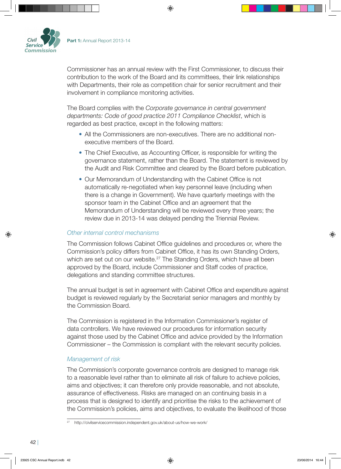

Commissioner has an annual review with the First Commissioner, to discuss their contribution to the work of the Board and its committees, their link relationships with Departments, their role as competition chair for senior recruitment and their involvement in compliance monitoring activities.

⊕

The Board complies with the *Corporate governance in central government departments: Code of good practice 2011 Compliance Checklist*, which is regarded as best practice, except in the following matters:

- All the Commissioners are non-executives. There are no additional nonexecutive members of the Board.
- The Chief Executive, as Accounting Officer, is responsible for writing the governance statement, rather than the Board. The statement is reviewed by the Audit and Risk Committee and cleared by the Board before publication.
- Our Memorandum of Understanding with the Cabinet Office is not automatically re-negotiated when key personnel leave (including when there is a change in Government). We have quarterly meetings with the sponsor team in the Cabinet Office and an agreement that the Memorandum of Understanding will be reviewed every three years; the review due in 2013-14 was delayed pending the Triennial Review.

#### *Other internal control mechanisms*

The Commission follows Cabinet Office guidelines and procedures or, where the Commission's policy differs from Cabinet Office, it has its own Standing Orders, which are set out on our website.<sup>27</sup> The Standing Orders, which have all been approved by the Board, include Commissioner and Staff codes of practice, delegations and standing committee structures.

The annual budget is set in agreement with Cabinet Office and expenditure against budget is reviewed regularly by the Secretariat senior managers and monthly by the Commission Board.

The Commission is registered in the Information Commissioner's register of data controllers. We have reviewed our procedures for information security against those used by the Cabinet Office and advice provided by the Information Commissioner – the Commission is compliant with the relevant security policies.

#### *Management of risk*

The Commission's corporate governance controls are designed to manage risk to a reasonable level rather than to eliminate all risk of failure to achieve policies, aims and objectives; it can therefore only provide reasonable, and not absolute, assurance of effectiveness. Risks are managed on an continuing basis in a process that is designed to identify and prioritise the risks to the achievement of the Commission's policies, aims and objectives, to evaluate the likelihood of those

◈

<sup>27</sup> http://civilservicecommission.independent.gov.uk/about-us/how-we-work/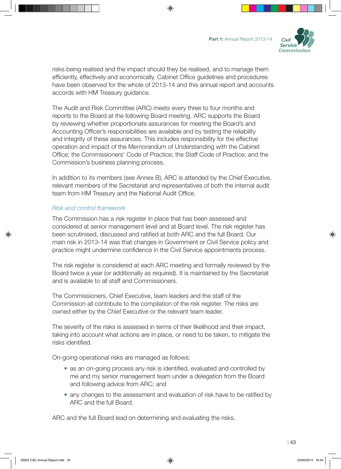

risks being realised and the impact should they be realised, and to manage them efficiently, effectively and economically. Cabinet Office guidelines and procedures have been observed for the whole of 2013-14 and this annual report and accounts accords with HM Treasury guidance.

◈

The Audit and Risk Committee (ARC) meets every three to four months and reports to the Board at the following Board meeting. ARC supports the Board by reviewing whether proportionate assurances for meeting the Board's and Accounting Officer's responsibilities are available and by testing the reliability and integrity of these assurances. This includes responsibility for the effective operation and impact of the Memorandum of Understanding with the Cabinet Office; the Commissioners' Code of Practice; the Staff Code of Practice; and the Commission's business planning process.

In addition to its members (see Annex B), ARC is attended by the Chief Executive, relevant members of the Secretariat and representatives of both the internal audit team from HM Treasury and the National Audit Office.

#### *Risk and control framework*

The Commission has a risk register in place that has been assessed and considered at senior management level and at Board level. The risk register has been scrutinised, discussed and ratified at both ARC and the full Board. Our main risk in 2013-14 was that changes in Government or Civil Service policy and practice might undermine confidence in the Civil Service appointments process.

The risk register is considered at each ARC meeting and formally reviewed by the Board twice a year (or additionally as required). It is maintained by the Secretariat and is available to all staff and Commissioners.

The Commissioners, Chief Executive, team leaders and the staff of the Commission all contribute to the compilation of the risk register. The risks are owned either by the Chief Executive or the relevant team leader.

The severity of the risks is assessed in terms of their likelihood and their impact, taking into account what actions are in place, or need to be taken, to mitigate the risks identified.

On-going operational risks are managed as follows:

- as an on-going process any risk is identified, evaluated and controlled by me and my senior management team under a delegation from the Board and following advice from ARC; and
- any changes to the assessment and evaluation of risk have to be ratified by ARC and the full Board.

ARC and the full Board lead on determining and evaluating the risks.

◈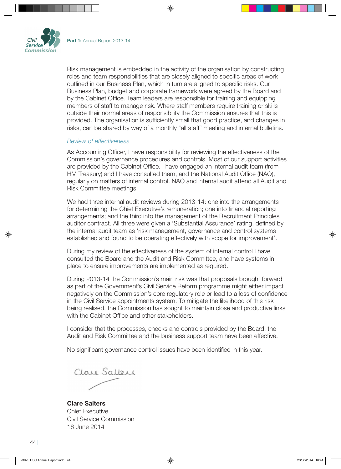

Risk management is embedded in the activity of the organisation by constructing roles and team responsibilities that are closely aligned to specific areas of work outlined in our Business Plan, which in turn are aligned to specific risks. Our Business Plan, budget and corporate framework were agreed by the Board and by the Cabinet Office. Team leaders are responsible for training and equipping members of staff to manage risk. Where staff members require training or skills outside their normal areas of responsibility the Commission ensures that this is provided. The organisation is sufficiently small that good practice, and changes in risks, can be shared by way of a monthly "all staff" meeting and internal bulletins.

◈

#### *Review of effectiveness*

As Accounting Officer, I have responsibility for reviewing the effectiveness of the Commission's governance procedures and controls. Most of our support activities are provided by the Cabinet Office. I have engaged an internal audit team (from HM Treasury) and I have consulted them, and the National Audit Office (NAO), regularly on matters of internal control. NAO and internal audit attend all Audit and Risk Committee meetings.

We had three internal audit reviews during 2013-14: one into the arrangements for determining the Chief Executive's remuneration; one into financial reporting arrangements; and the third into the management of the Recruitment Principles auditor contract. All three were given a 'Substantial Assurance' rating, defined by the internal audit team as 'risk management, governance and control systems established and found to be operating effectively with scope for improvement'.

During my review of the effectiveness of the system of internal control I have consulted the Board and the Audit and Risk Committee, and have systems in place to ensure improvements are implemented as required.

During 2013-14 the Commission's main risk was that proposals brought forward as part of the Government's Civil Service Reform programme might either impact negatively on the Commission's core regulatory role or lead to a loss of confidence in the Civil Service appointments system. To mitigate the likelihood of this risk being realised, the Commission has sought to maintain close and productive links with the Cabinet Office and other stakeholders.

I consider that the processes, checks and controls provided by the Board, the Audit and Risk Committee and the business support team have been effective.

No significant governance control issues have been identified in this year.

Clare Salters

Clare Salters Chief Executive Civil Service Commission 16 June 2014

◈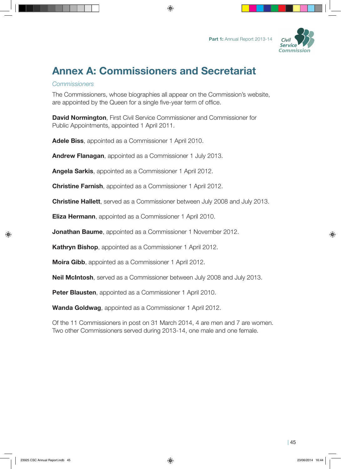



# Annex A: Commissioners and Secretariat

#### *Commissioners*

The Commissioners, whose biographies all appear on the Commission's website, are appointed by the Queen for a single five-year term of office.

 $\bigcirc$ 

David Normington, First Civil Service Commissioner and Commissioner for Public Appointments, appointed 1 April 2011.

Adele Biss, appointed as a Commissioner 1 April 2010.

Andrew Flanagan, appointed as a Commissioner 1 July 2013.

Angela Sarkis, appointed as a Commissioner 1 April 2012.

Christine Farnish, appointed as a Commissioner 1 April 2012.

**Christine Hallett**, served as a Commissioner between July 2008 and July 2013.

**Eliza Hermann**, appointed as a Commissioner 1 April 2010.

Jonathan Baume, appointed as a Commissioner 1 November 2012.

Kathryn Bishop, appointed as a Commissioner 1 April 2012.

**Moira Gibb**, appointed as a Commissioner 1 April 2012.

**Neil McIntosh**, served as a Commissioner between July 2008 and July 2013.

**Peter Blausten**, appointed as a Commissioner 1 April 2010.

Wanda Goldwag, appointed as a Commissioner 1 April 2012.

Of the 11 Commissioners in post on 31 March 2014, 4 are men and 7 are women. Two other Commissioners served during 2013-14, one male and one female.

◈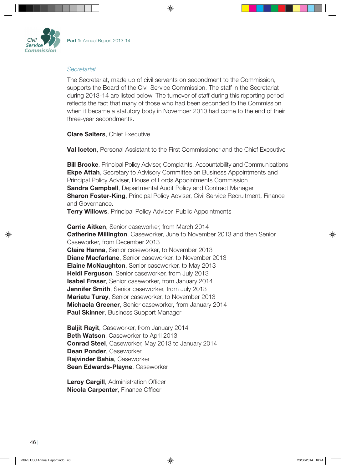

#### *Secretariat*

The Secretariat, made up of civil servants on secondment to the Commission, supports the Board of the Civil Service Commission. The staff in the Secretariat during 2013-14 are listed below. The turnover of staff during this reporting period reflects the fact that many of those who had been seconded to the Commission when it became a statutory body in November 2010 had come to the end of their three-year secondments.

◈

**Clare Salters, Chief Executive** 

**Val Iceton**, Personal Assistant to the First Commissioner and the Chief Executive

**Bill Brooke**, Principal Policy Adviser, Complaints, Accountability and Communications **Ekpe Attah, Secretary to Advisory Committee on Business Appointments and** Principal Policy Adviser, House of Lords Appointments Commission **Sandra Campbell**, Departmental Audit Policy and Contract Manager **Sharon Foster-King**, Principal Policy Adviser, Civil Service Recruitment, Finance and Governance.

**Terry Willows**, Principal Policy Adviser, Public Appointments

**Carrie Aitken, Senior caseworker, from March 2014** Catherine Millington, Caseworker, June to November 2013 and then Senior Caseworker, from December 2013 **Claire Hanna, Senior caseworker, to November 2013 Diane Macfarlane, Senior caseworker, to November 2013 Elaine McNaughton, Senior caseworker, to May 2013** Heidi Ferguson, Senior caseworker, from July 2013 **Isabel Fraser**, Senior caseworker, from January 2014 **Jennifer Smith, Senior caseworker, from July 2013 Mariatu Turay, Senior caseworker, to November 2013 Michaela Greener**, Senior caseworker, from January 2014 Paul Skinner, Business Support Manager

**Baljit Rayit**, Caseworker, from January 2014 **Beth Watson, Caseworker to April 2013** Conrad Steel, Caseworker, May 2013 to January 2014 Dean Ponder, Caseworker Rajvinder Bahia, Caseworker Sean Edwards-Playne, Caseworker

Leroy Cargill, Administration Officer Nicola Carpenter, Finance Officer

◈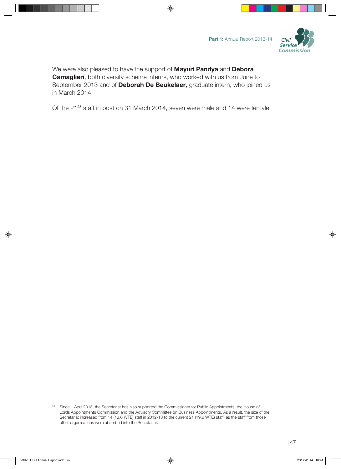



We were also pleased to have the support of Mayuri Pandya and Debora **Camaglieri**, both diversity scheme interns, who worked with us from June to September 2013 and of Deborah De Beukelaer, graduate intern, who joined us in March 2014.

◈

Of the 21<sup>28</sup> staff in post on 31 March 2014, seven were male and 14 were female.

◈

 $\bigcirc$ 

<sup>&</sup>lt;sup>28</sup> Since 1 April 2013, the Secretariat has also supported the Commissioner for Public Appointments, the House of Lords Appointments Commission and the Advisory Committee on Business Appointments. As a result, the size of the Secretariat increased from 14 (13.6 WTE) staff in 2012-13 to the current 21 (19.6 WTE) staff, as the staff from those other organisations were absorbed into the Secretariat.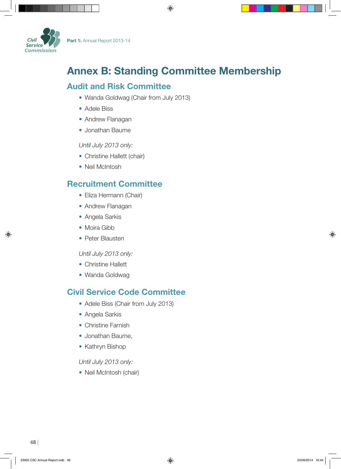

## Annex B: Standing Committee Membership

 $\bigoplus$ 

### Audit and Risk Committee

- Wanda Goldwag (Chair from July 2013)
- Adele Biss
- Andrew Flanagan
- Jonathan Baume

*Until July 2013 only:*

- Christine Hallett (chair)
- Neil McIntosh

### Recruitment Committee

- Eliza Hermann (Chair)
- Andrew Flanagan
- Angela Sarkis
- Moira Gibb
- Peter Blausten

*Until July 2013 only:*

- Christine Hallett
- Wanda Goldwag

### Civil Service Code Committee

- Adele Biss (Chair from July 2013)
- Angela Sarkis
- Christine Farnish
- Jonathan Baume,
- Kathryn Bishop

*Until July 2013 only:*

• Neil McIntosh (chair)

◈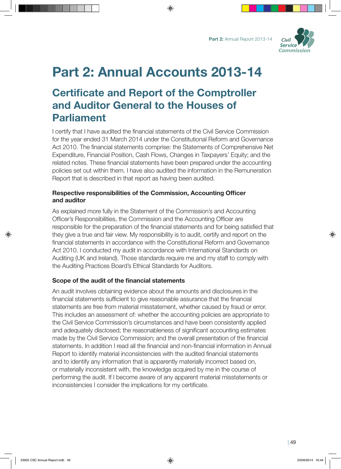

# Part 2: Annual Accounts 2013-14

◈

# Certificate and Report of the Comptroller and Auditor General to the Houses of Parliament

I certify that I have audited the financial statements of the Civil Service Commission for the year ended 31 March 2014 under the Constitutional Reform and Governance Act 2010. The financial statements comprise: the Statements of Comprehensive Net Expenditure, Financial Position, Cash Flows, Changes in Taxpayers' Equity; and the related notes. These financial statements have been prepared under the accounting policies set out within them. I have also audited the information in the Remuneration Report that is described in that report as having been audited.

#### Respective responsibilities of the Commission, Accounting Officer and auditor

As explained more fully in the Statement of the Commission's and Accounting Officer's Responsibilities, the Commission and the Accounting Officer are responsible for the preparation of the financial statements and for being satisfied that they give a true and fair view. My responsibility is to audit, certify and report on the financial statements in accordance with the Constitutional Reform and Governance Act 2010. I conducted my audit in accordance with International Standards on Auditing (UK and Ireland). Those standards require me and my staff to comply with the Auditing Practices Board's Ethical Standards for Auditors.

#### Scope of the audit of the financial statements

An audit involves obtaining evidence about the amounts and disclosures in the financial statements sufficient to give reasonable assurance that the financial statements are free from material misstatement, whether caused by fraud or error. This includes an assessment of: whether the accounting policies are appropriate to the Civil Service Commission's circumstances and have been consistently applied and adequately disclosed; the reasonableness of significant accounting estimates made by the Civil Service Commission; and the overall presentation of the financial statements. In addition I read all the financial and non-financial information in Annual Report to identify material inconsistencies with the audited financial statements and to identify any information that is apparently materially incorrect based on, or materially inconsistent with, the knowledge acquired by me in the course of performing the audit. If I become aware of any apparent material misstatements or inconsistencies I consider the implications for my certificate.

◈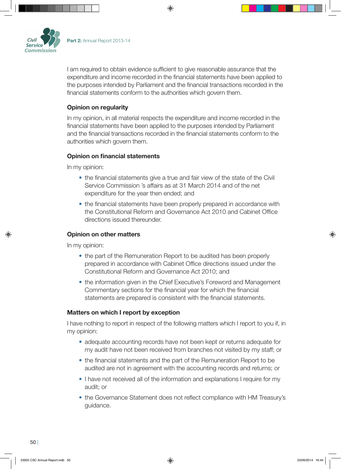

I am required to obtain evidence sufficient to give reasonable assurance that the expenditure and income recorded in the financial statements have been applied to the purposes intended by Parliament and the financial transactions recorded in the financial statements conform to the authorities which govern them.

◈

#### Opinion on regularity

In my opinion, in all material respects the expenditure and income recorded in the financial statements have been applied to the purposes intended by Parliament and the financial transactions recorded in the financial statements conform to the authorities which govern them.

#### Opinion on financial statements

In my opinion:

- the financial statements give a true and fair view of the state of the Civil Service Commission 's affairs as at 31 March 2014 and of the net expenditure for the year then ended; and
- the financial statements have been properly prepared in accordance with the Constitutional Reform and Governance Act 2010 and Cabinet Office directions issued thereunder.

#### Opinion on other matters

In my opinion:

- the part of the Remuneration Report to be audited has been properly prepared in accordance with Cabinet Office directions issued under the Constitutional Reform and Governance Act 2010; and
- the information given in the Chief Executive's Foreword and Management Commentary sections for the financial year for which the financial statements are prepared is consistent with the financial statements.

#### Matters on which I report by exception

I have nothing to report in respect of the following matters which I report to you if, in my opinion:

- adequate accounting records have not been kept or returns adequate for my audit have not been received from branches not visited by my staff; or
- the financial statements and the part of the Remuneration Report to be audited are not in agreement with the accounting records and returns; or
- I have not received all of the information and explanations I require for my audit; or
- the Governance Statement does not reflect compliance with HM Treasury's guidance.

◈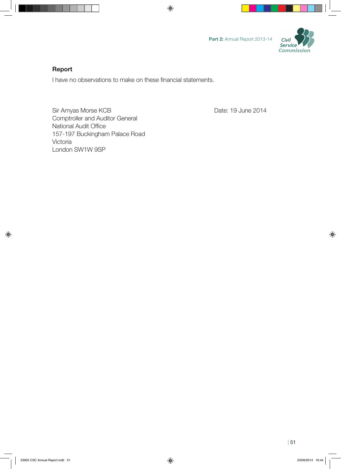

#### Report

I have no observations to make on these financial statements.

 $\bigoplus$ 

Sir Amyas Morse KCB Date: 19 June 2014 Comptroller and Auditor General National Audit Office 157-197 Buckingham Palace Road Victoria London SW1W 9SP

 $\bigoplus$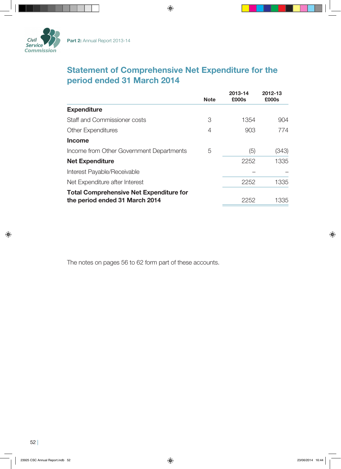

## Statement of Comprehensive Net Expenditure for the period ended 31 March 2014

 $\bigoplus$ 

|                                                                                  | <b>Note</b> | 2013-14<br>£000s | 2012-13<br>£000s |
|----------------------------------------------------------------------------------|-------------|------------------|------------------|
| <b>Expenditure</b>                                                               |             |                  |                  |
| Staff and Commissioner costs                                                     | 3           | 1354             | 904              |
| <b>Other Expenditures</b>                                                        | 4           | 903              | 774              |
| <b>Income</b>                                                                    |             |                  |                  |
| Income from Other Government Departments                                         | 5           | (5)              | (343)            |
| <b>Net Expenditure</b>                                                           |             | 2252             | 1335             |
| Interest Payable/Receivable                                                      |             |                  |                  |
| Net Expenditure after Interest                                                   |             | 2252             | 1335             |
| <b>Total Comprehensive Net Expenditure for</b><br>the period ended 31 March 2014 |             | 2252             | 1335             |

The notes on pages 56 to 62 form part of these accounts.

 $\bigoplus$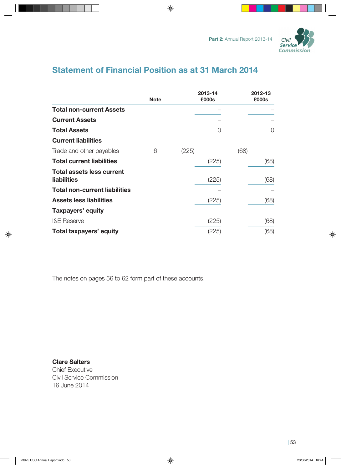

## Statement of Financial Position as at 31 March 2014

 $\bigoplus$ 

|                                                        | <b>Note</b> |       | 2013-14<br>£000s |      | 2012-13<br>£000s |
|--------------------------------------------------------|-------------|-------|------------------|------|------------------|
| <b>Total non-current Assets</b>                        |             |       |                  |      |                  |
| <b>Current Assets</b>                                  |             |       |                  |      |                  |
| <b>Total Assets</b>                                    |             |       | Ω                |      | 0                |
| <b>Current liabilities</b>                             |             |       |                  |      |                  |
| Trade and other payables                               | 6           | (225) |                  | (68) |                  |
| <b>Total current liabilities</b>                       |             |       | (225)            |      | (68)             |
| <b>Total assets less current</b><br><b>liabilities</b> |             |       | (225)            |      | (68)             |
| <b>Total non-current liabilities</b>                   |             |       |                  |      |                  |
| <b>Assets less liabilities</b>                         |             |       | (225)            |      | (68)             |
| Taxpayers' equity                                      |             |       |                  |      |                  |
| <b>I&amp;E Reserve</b>                                 |             |       | (225)            |      | (68)             |
| <b>Total taxpayers' equity</b>                         |             |       | (225)            |      | (68)             |

The notes on pages 56 to 62 form part of these accounts.

Clare Salters

Chief Executive Civil Service Commission 16 June 2014

 $\bigoplus$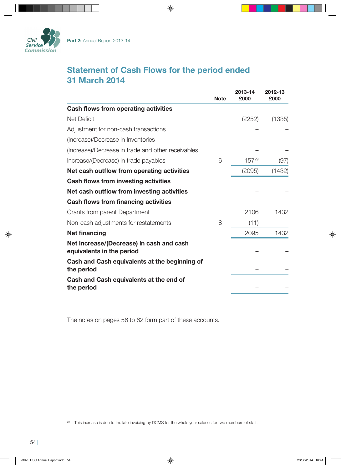

## Statement of Cash Flows for the period ended 31 March 2014

 $\bigoplus$ 

|                                                                       | <b>Note</b> | 2013-14<br>£000 | 2012-13<br>£000 |
|-----------------------------------------------------------------------|-------------|-----------------|-----------------|
| <b>Cash flows from operating activities</b>                           |             |                 |                 |
| <b>Net Deficit</b>                                                    |             | (2252)          | (1335)          |
| Adjustment for non-cash transactions                                  |             |                 |                 |
| (Increase)/Decrease in Inventories                                    |             |                 |                 |
| (Increase)/Decrease in trade and other receivables                    |             |                 |                 |
| Increase/(Decrease) in trade payables                                 | 6           | 15729           | (97)            |
| Net cash outflow from operating activities                            |             | (2095)          | (1432)          |
| <b>Cash flows from investing activities</b>                           |             |                 |                 |
| Net cash outflow from investing activities                            |             |                 |                 |
| <b>Cash flows from financing activities</b>                           |             |                 |                 |
| Grants from parent Department                                         |             | 2106            | 1432            |
| Non-cash adjustments for restatements                                 | 8           | (11)            |                 |
| <b>Net financing</b>                                                  |             | 2095            | 1432            |
| Net Increase/(Decrease) in cash and cash<br>equivalents in the period |             |                 |                 |
| Cash and Cash equivalents at the beginning of<br>the period           |             |                 |                 |
| Cash and Cash equivalents at the end of<br>the period                 |             |                 |                 |
|                                                                       |             |                 |                 |

The notes on pages 56 to 62 form part of these accounts.

 $\bigoplus$ 

 $\overline{29}$  This increase is due to the late invoicing by DCMS for the whole year salaries for two members of staff.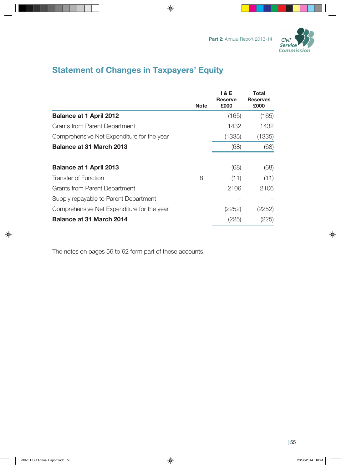



## Statement of Changes in Taxpayers' Equity

|                                            | <b>Note</b> | 1 & E<br><b>Reserve</b><br>£000 | Total<br><b>Reserves</b><br>£000 |
|--------------------------------------------|-------------|---------------------------------|----------------------------------|
| <b>Balance at 1 April 2012</b>             |             | (165)                           | (165)                            |
| Grants from Parent Department              |             | 1432                            | 1432                             |
| Comprehensive Net Expenditure for the year |             | (1335)                          | (1335)                           |
| <b>Balance at 31 March 2013</b>            |             | (68)                            | (68)                             |
| <b>Balance at 1 April 2013</b>             |             | (68)                            | (68)                             |
| <b>Transfer of Function</b>                | 8           | (11)                            | (11)                             |
| Grants from Parent Department              |             | 2106                            | 2106                             |
| Supply repayable to Parent Department      |             |                                 |                                  |
| Comprehensive Net Expenditure for the year |             | (2252)                          | (2252)                           |
| <b>Balance at 31 March 2014</b>            |             | (225)                           | (225)                            |
|                                            |             |                                 |                                  |

 $\bigoplus$ 

The notes on pages 56 to 62 form part of these accounts.

| 55

 $\bigoplus$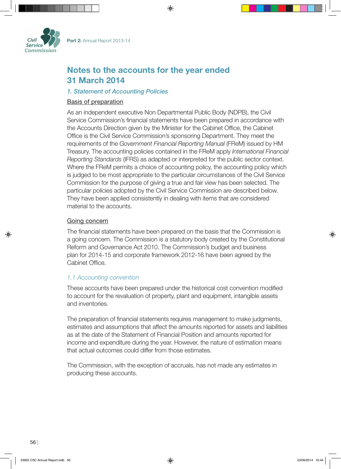

## Notes to the accounts for the year ended 31 March 2014

◈

#### *1. Statement of Accounting Policies*

#### Basis of preparation

As an independent executive Non Departmental Public Body (NDPB), the Civil Service Commission's financial statements have been prepared in accordance with the Accounts Direction given by the Minister for the Cabinet Office, the Cabinet Office is the Civil Service Commission's sponsoring Department. They meet the requirements of the *Government Financial Reporting Manual* (FReM) issued by HM Treasury. The accounting policies contained in the FReM apply *International Financial Reporting Standards* (IFRS) as adapted or interpreted for the public sector context. Where the FReM permits a choice of accounting policy, the accounting policy which is judged to be most appropriate to the particular circumstances of the Civil Service Commission for the purpose of giving a true and fair view has been selected. The particular policies adopted by the Civil Service Commission are described below. They have been applied consistently in dealing with items that are considered material to the accounts.

#### Going concern

The financial statements have been prepared on the basis that the Commission is a going concern. The Commission is a statutory body created by the Constitutional Reform and Governance Act 2010. The Commission's budget and business plan for 2014-15 and corporate framework 2012-16 have been agreed by the Cabinet Office.

#### *1.1 Accounting convention*

These accounts have been prepared under the historical cost convention modified to account for the revaluation of property, plant and equipment, intangible assets and inventories.

The preparation of financial statements requires management to make judgments, estimates and assumptions that affect the amounts reported for assets and liabilities as at the date of the Statement of Financial Position and amounts reported for income and expenditure during the year. However, the nature of estimation means that actual outcomes could differ from those estimates.

The Commission, with the exception of accruals, has not made any estimates in producing these accounts.

◈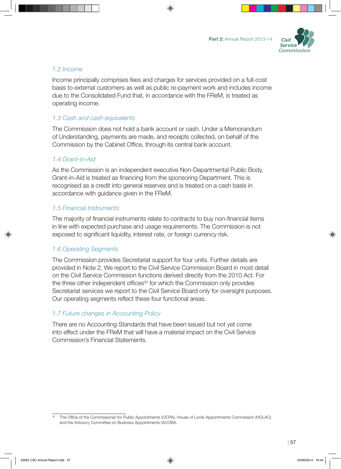



#### *1.2 Income*

Income principally comprises fees and charges for services provided on a full-cost basis to external customers as well as public re-payment work and includes income due to the Consolidated Fund that, in accordance with the FReM, is treated as operating income.

⊕

#### *1.3 Cash and cash equivalents*

The Commission does not hold a bank account or cash. Under a Memorandum of Understanding, payments are made, and receipts collected, on behalf of the Commission by the Cabinet Office, through its central bank account.

#### *1.4 Grant-in-Aid*

As the Commission is an independent executive Non-Departmental Public Body, Grant-in-Aid is treated as financing from the sponsoring Department. This is recognised as a credit into general reserves and is treated on a cash basis in accordance with guidance given in the FReM.

#### *1.5 Financial Instruments*

The majority of financial instruments relate to contracts to buy non-financial items in line with expected purchase and usage requirements. The Commission is not exposed to significant liquidity, interest rate, or foreign currency risk.

#### *1.6 Operating Segments*

◈

The Commission provides Secretariat support for four units. Further details are provided in Note 2. We report to the Civil Service Commission Board in most detail on the Civil Service Commission functions derived directly from the 2010 Act. For the three other independent offices<sup>30</sup> for which the Commission only provides Secretariat services we report to the Civil Service Board only for oversight purposes. Our operating segments reflect these four functional areas.

#### *1.7 Future changes in Accounting Policy*

There are no Accounting Standards that have been issued but not yet come into effect under the FReM that will have a material impact on the Civil Service Commission's Financial Statements.

<sup>30</sup> The Office of the Commissioner for Public Appointments (OCPA), House of Lords Appointments Commission (HOLAC) and the Advisory Committee on Business Appointments (ACOBA.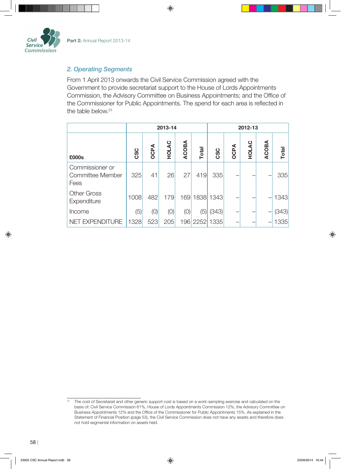

#### *2. Operating Segments*

From 1 April 2013 onwards the Civil Service Commission agreed with the Government to provide secretariat support to the House of Lords Appointments Commission, the Advisory Committee on Business Appointments; and the Office of the Commissioner for Public Appointments. The spend for each area is reflected in the table below.<sup>31</sup>

 $\bigoplus$ 

|                                                    | 2013-14 |      |              | 2012-13      |               |           |             |           |              |       |
|----------------------------------------------------|---------|------|--------------|--------------|---------------|-----------|-------------|-----------|--------------|-------|
| £000s                                              | င်သ     | OCPA | <b>UOLAC</b> | <b>ACOBA</b> | <b>Total</b>  | ပိတ်      | <b>OCPA</b> | ပ<br>HOLA | <b>ACOBA</b> | Total |
| Commissioner or<br><b>Committee Member</b><br>Fees | 325     | 41   | 26           | 27           | 419           | 335       |             |           |              | 335   |
| <b>Other Gross</b><br>Expenditure                  | 1008    | 482  | 179          | 169          |               | 1838 1343 |             |           |              | 1343  |
| Income                                             | (5)     | (0)  | (0)          | (0)          | (5)           | (343)     |             |           |              | (343) |
| <b>NET EXPENDITURE</b>                             | 1328    | 523  | 205          |              | 196 2252 1335 |           |             |           |              | 1335  |

◈

 $\bigcirc$ 

<sup>&</sup>lt;sup>31</sup> The cost of Secretariat and other generic support cost is based on a work-sampling exercise and calculated on the basis of: Civil Service Commission 61%, House of Lords Appointments Commission 12%, the Advisory Committee on Business Appointments 12% and the Office of the Commissioner for Public Appointments 15%. As explained in the Statement of Financial Position (page 53), the Civil Service Commission does not have any assets and therefore does not hold segmental information on assets held.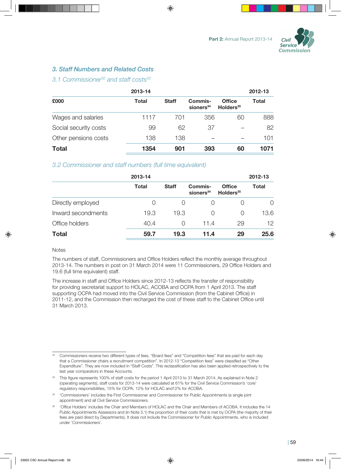

#### *3. Staff Numbers and Related Costs*

#### *3.1 Commissioner32 and staff costs33*

|                       | 2013-14      |              |                                  |                                        | 2012-13 |
|-----------------------|--------------|--------------|----------------------------------|----------------------------------------|---------|
| £000                  | <b>Total</b> | <b>Staff</b> | Commis-<br>sioners <sup>34</sup> | <b>Office</b><br>Holders <sup>35</sup> | Total   |
| Wages and salaries    | 1117         | 701          | 356                              | 60                                     | 888     |
| Social security costs | 99           | 62           | 37                               |                                        | 82      |
| Other pensions costs  | 138          | 138          |                                  |                                        | 101     |
| <b>Total</b>          | 1354         | 901          | 393                              | 60                                     | 1071    |

⊕

#### *3.2 Commissioner and staff numbers (full time equivalent)*

|                    | 2013-14      |                  |                                  |                                        | 2012-13 |
|--------------------|--------------|------------------|----------------------------------|----------------------------------------|---------|
|                    | <b>Total</b> | <b>Staff</b>     | Commis-<br>sioners <sup>34</sup> | <b>Office</b><br>Holders <sup>35</sup> | Total   |
| Directly employed  | O            | $\left( \right)$ |                                  |                                        |         |
| Inward secondments | 19.3         | 19.3             | $\left( \right)$                 |                                        | 13.6    |
| Office holders     | 40.4         | $\bigcirc$       | 11.4                             | 29                                     | 12      |
| <b>Total</b>       | 59.7         | 19.3             | 11.4                             | 29                                     | 25.6    |

#### **Notes**

◈

The numbers of staff, Commissioners and Office Holders reflect the monthly average throughout 2013-14. The numbers in post on 31 March 2014 were 11 Commissioners, 29 Office Holders and 19.6 (full time equivalent) staff.

The increase in staff and Office Holders since 2012-13 reflects the transfer of responsibility for providing secretariat support to HOLAC, ACOBA and OCPA from 1 April 2013. The staff supporting OCPA had moved into the Civil Service Commission (from the Cabinet Office) in 2011-12, and the Commission then recharged the cost of these staff to the Cabinet Office until 31 March 2013.

<sup>32</sup> Commissioners receive two different types of fees. "Board fees" and "Competition fees" that are paid for each day that a Commissioner chairs a recruitment competition". In 2012-13 "Competition fees" were classified as "Other Expenditure". They are now included in "Staff Costs". This reclassification has also been applied retrospectively to the last year comparators in these Accounts.

<sup>33</sup> This figure represents 100% of staff costs for the period 1 April 2013 to 31 March 2014. As explained in Note 2 (operating segments), staff costs for 2013-14 were calculated at 61% for the Civil Service Commission's 'core' regulatory responsibilities, 15% for OCPA, 12% for HOLAC and12% for ACOBA.

<sup>34 &#</sup>x27;Commissioners' includes the First Commissioner and Commissioner for Public Appointments (a single joint appointment) and all Civil Service Commissioners.

<sup>35 &#</sup>x27;Office Holders' includes the Chair and Members of HOLAC and the Chair and Members of ACOBA. It includes the 14 Public Appointments Assessors and (in Note 3.1) the proportion of their costs that is met by OCPA (the majority of their fees are paid direct by Departments). It does not include the Commissioner for Public Appointments, who is included under 'Commissioners'.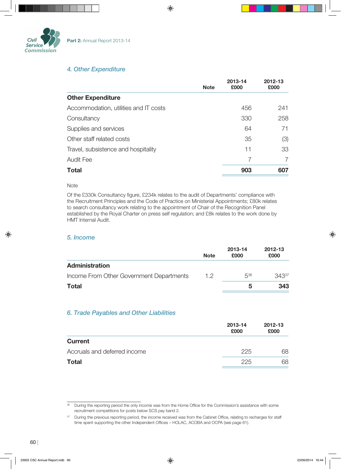

#### *4. Other Expenditure*

|                                       | <b>Note</b> | 2013-14<br>£000 | 2012-13<br>£000 |
|---------------------------------------|-------------|-----------------|-----------------|
| <b>Other Expenditure</b>              |             |                 |                 |
| Accommodation, utilities and IT costs |             | 456             | 241             |
| Consultancy                           |             | 330             | 258             |
| Supplies and services                 |             | 64              | 71              |
| Other staff related costs             |             | 35              | (3)             |
| Travel, subsistence and hospitality   |             | 11              | 33              |
| <b>Audit Fee</b>                      |             | 7               | 7               |
| <b>Total</b>                          |             | 903             | 607             |

 $\bigoplus$ 

#### Note

Of the £330k Consultancy figure, £234k relates to the audit of Departments' compliance with the Recruitment Principles and the Code of Practice on Ministerial Appointments; £80k relates to search consultancy work relating to the appointment of Chair of the Recognition Panel established by the Royal Charter on press self regulation; and £8k relates to the work done by HMT Internal Audit.

#### *5. Income*

|                                          | <b>Note</b> | 2013-14<br>£000 | 2012-13<br>£000 |
|------------------------------------------|-------------|-----------------|-----------------|
| <b>Administration</b>                    |             |                 |                 |
| Income From Other Government Departments | 1.2         | 536             | 34337           |
| <b>Total</b>                             |             | 5               | 343             |

#### *6. Trade Payables and Other Liabilities*

|                              | 2013-14<br>£000 | 2012-13<br>£000 |
|------------------------------|-----------------|-----------------|
| <b>Current</b>               |                 |                 |
| Accruals and deferred income | 225             | 68              |
| <b>Total</b>                 | 225             | 68              |

◈

 $\bigcirc$ 

<sup>&</sup>lt;sup>36</sup> During the reporting period the only income was from the Home Office for the Commission's assistance with some recruitment competitions for posts below SCS pay band 2.

<sup>&</sup>lt;sup>37</sup> During the previous reporting period, the income received was from the Cabinet Office, relating to recharges for staff time spent supporting the other Independent Offices – HOLAC, ACOBA and OCPA (see page 61).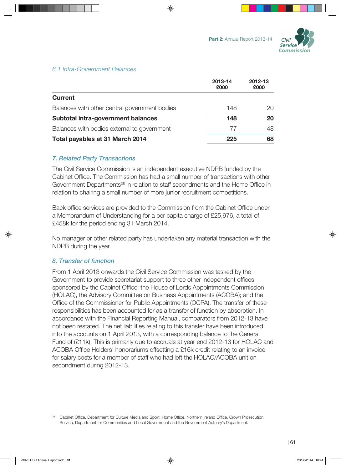

#### *6.1 Intra-Government Balances*

|                                               | 2013-14<br>£000 | 2012-13<br>£000 |
|-----------------------------------------------|-----------------|-----------------|
| <b>Current</b>                                |                 |                 |
| Balances with other central government bodies | 148             | 20.             |
| Subtotal intra-government balances            | 148             | 20              |
| Balances with bodies external to government   | 77              | 48              |
| Total payables at 31 March 2014               | 225             | 68              |

⊕

#### *7. Related Party Transactions*

The Civil Service Commission is an independent executive NDPB funded by the Cabinet Office. The Commission has had a small number of transactions with other Government Departments<sup>38</sup> in relation to staff secondments and the Home Office in relation to chairing a small number of more junior recruitment competitions.

Back office services are provided to the Commission from the Cabinet Office under a Memorandum of Understanding for a per capita charge of £25,976, a total of £458k for the period ending 31 March 2014.

No manager or other related party has undertaken any material transaction with the NDPB during the year.

#### *8. Transfer of function*

◈

From 1 April 2013 onwards the Civil Service Commission was tasked by the Government to provide secretariat support to three other independent offices sponsored by the Cabinet Office: the House of Lords Appointments Commission (HOLAC), the Advisory Committee on Business Appointments (ACOBA); and the Office of the Commissioner for Public Appointments (OCPA). The transfer of these responsibilities has been accounted for as a transfer of function by absorption. In accordance with the Financial Reporting Manual, comparators from 2012-13 have not been restated. The net liabilities relating to this transfer have been introduced into the accounts on 1 April 2013, with a corresponding balance to the General Fund of (£11k). This is primarily due to accruals at year end 2012-13 for HOLAC and ACOBA Office Holders' honorariums offsetting a £16k credit relating to an invoice for salary costs for a member of staff who had left the HOLAC/ACOBA unit on secondment during 2012-13.

<sup>38</sup> Cabinet Office, Department for Culture Media and Sport, Home Office, Northern Ireland Office, Crown Prosecution Service, Department for Communities and Local Government and the Government Actuary's Department.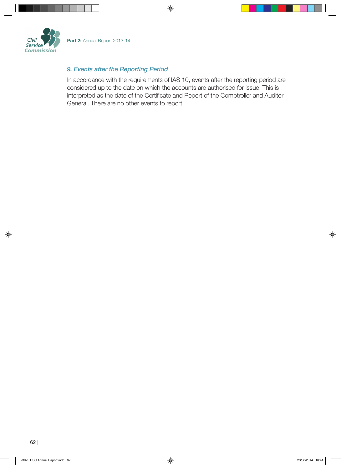

#### *9. Events after the Reporting Period*

In accordance with the requirements of IAS 10, events after the reporting period are considered up to the date on which the accounts are authorised for issue. This is interpreted as the date of the Certificate and Report of the Comptroller and Auditor General. There are no other events to report.

 $\bigoplus$ 

 $\bigoplus$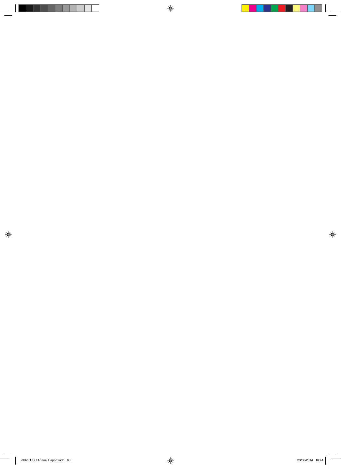

 $\bigoplus$ 

 $\equiv$  ( ) and a sequence of  $\equiv$ 

▆▆▖▏▁

 $\bigoplus$ 

<u> Titul III </u>

٦